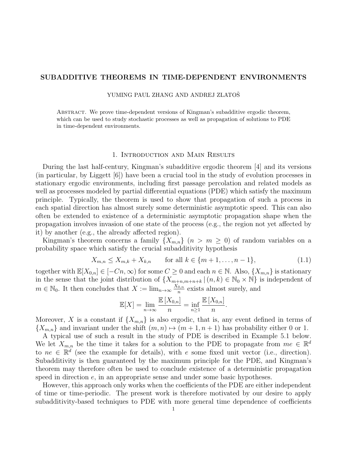# SUBADDITIVE THEOREMS IN TIME-DEPENDENT ENVIRONMENTS

YUMING PAUL ZHANG AND ANDREJ ZLATOŠ

Abstract. We prove time-dependent versions of Kingman's subadditive ergodic theorem, which can be used to study stochastic processes as well as propagation of solutions to PDE in time-dependent environments.

## 1. Introduction and Main Results

During the last half-century, Kingman's subadditive ergodic theorem [4] and its versions (in particular, by Liggett [6]) have been a crucial tool in the study of evolution processes in stationary ergodic environments, including first passage percolation and related models as well as processes modeled by partial differential equations (PDE) which satisfy the maximum principle. Typically, the theorem is used to show that propagation of such a process in each spatial direction has almost surely some deterministic asymptotic speed. This can also often be extended to existence of a deterministic asymptotic propagation shape when the propagation involves invasion of one state of the process (e.g., the region not yet affected by it) by another (e.g., the already affected region).

Kingman's theorem concerns a family  $\{X_{m,n}\}\ (n > m \geq 0)$  of random variables on a probability space which satisfy the crucial subadditivity hypothesis

$$
X_{m,n} \le X_{m,k} + X_{k,n} \qquad \text{for all } k \in \{m+1, \dots, n-1\},\tag{1.1}
$$

together with  $\mathbb{E}[X_{0,n}] \in [-Cn,\infty)$  for some  $C \geq 0$  and each  $n \in \mathbb{N}$ . Also,  $\{X_{m,n}\}$  is stationary in the sense that the joint distribution of  $\{X_{m+n,m+n+k} | (n,k) \in \mathbb{N}_0 \times \mathbb{N} \}$  is independent of  $m \in \mathbb{N}_0$ . It then concludes that  $X := \lim_{n \to \infty} \frac{X_{0,n}}{n}$  $\frac{0,n}{n}$  exists almost surely, and

$$
\mathbb{E}[X] = \lim_{n \to \infty} \frac{\mathbb{E}[X_{0,n}]}{n} = \inf_{n \ge 1} \frac{\mathbb{E}[X_{0,n}]}{n}.
$$

Moreover, X is a constant if  $\{X_{m,n}\}$  is also ergodic, that is, any event defined in terms of  $\{X_{m,n}\}\$  and invariant under the shift  $(m, n) \mapsto (m + 1, n + 1)$  has probability either 0 or 1.

A typical use of such a result in the study of PDE is described in Example 5.1 below. We let  $X_{m,n}$  be the time it takes for a solution to the PDE to propagate from  $me \in \mathbb{R}^d$ to  $ne \in \mathbb{R}^d$  (see the example for details), with e some fixed unit vector (i.e., direction). Subadditivity is then guaranteed by the maximum principle for the PDE, and Kingman's theorem may therefore often be used to conclude existence of a deterministic propagation speed in direction e, in an appropriate sense and under some basic hypotheses.

However, this approach only works when the coefficients of the PDE are either independent of time or time-periodic. The present work is therefore motivated by our desire to apply subadditivity-based techniques to PDE with more general time dependence of coefficients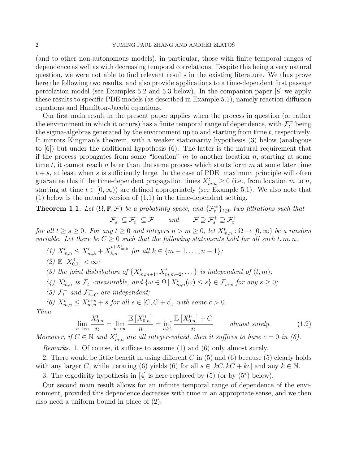(and to other non-autonomous models), in particular, those with finite temporal ranges of dependence as well as with decreasing temporal correlations. Despite this being a very natural question, we were not able to find relevant results in the existing literature. We thus prove here the following two results, and also provide applications to a time-dependent first passage percolation model (see Examples 5.2 and 5.3 below). In the companion paper [8] we apply these results to specific PDE models (as described in Example 5.1), namely reaction-diffusion equations and Hamilton-Jacobi equations.

Our first main result in the present paper applies when the process in question (or rather the environment in which it occurs) has a finite temporal range of dependence, with  $\mathcal{F}_t^{\pm}$  being the sigma-algebras generated by the environment up to and starting from time  $t$ , respectively. It mirrors Kingman's theorem, with a weaker stationarity hypothesis (3) below (analogous to [6]) but under the additional hypothesis (6). The latter is the natural requirement that if the process propagates from some "location"  $m$  to another location  $n$ , starting at some time t, it cannot reach n later than the same process which starts form  $m$  at some later time  $t + s$ , at least when s is sufficiently large. In the case of PDE, maximum principle will often guarantee this if the time-dependent propagation times  $X_{m,n}^t \geq 0$  (i.e., from location m to n, starting at time  $t \in [0,\infty)$  are defined appropriately (see Example 5.1). We also note that (1) below is the natural version of (1.1) in the time-dependent setting.

**Theorem 1.1.** Let  $(\Omega, \mathbb{P}, \mathcal{F})$  be a probability space, and  $\{\mathcal{F}_t^{\pm}\}_{t\geq 0}$  two filtrations such that

$$
\mathcal{F}_s^- \subseteq \mathcal{F}_t^- \subseteq \mathcal{F} \qquad and \qquad \mathcal{F} \supseteq \mathcal{F}_s^+ \supseteq \mathcal{F}_t^+
$$

for all  $t \geq s \geq 0$ . For any  $t \geq 0$  and integers  $n > m \geq 0$ , let  $X_{m,n}^t : \Omega \to [0,\infty)$  be a random variable. Let there be  $C \geq 0$  such that the following statements hold for all such  $t, m, n$ .

- (1)  $X_{m,n}^t \le X_{m,k}^t + X_{k,n}^{t+X_{m,k}^t}$  for all  $k \in \{m+1,\ldots,n-1\}$ ;
- (2)  $\mathbb{E}[X_{0,1}^0] < \infty;$
- (3) the joint distribution of  $\{X_{m,m+1}^t, X_{m,m+2}^t, \dots\}$  is independent of  $(t, m)$ ;

(4)  $X_{m,n}^t$  is  $\mathcal{F}_t^+$ -measurable, and  $\{\omega \in \Omega \mid X_{m,n}^t(\omega) \leq s\} \in \mathcal{F}_{t+s}^-$  for any  $s \geq 0$ ;

(5)  $\mathcal{F}_t^-$  and  $\mathcal{F}_{t+}^+$  $t_{t+C}^+$  are independent;

(6) 
$$
X_{m,n}^t \leq X_{m,n}^{t+s} + s
$$
 for all  $s \in [C, C + c]$ , with some  $c > 0$ .

Then

$$
\lim_{n \to \infty} \frac{X_{0,n}^0}{n} = \lim_{n \to \infty} \frac{\mathbb{E}\left[X_{0,n}^0\right]}{n} = \inf_{n \ge 1} \frac{\mathbb{E}\left[X_{0,n}^0\right] + C}{n} \quad \text{almost surely.} \tag{1.2}
$$

Moreover, if  $C \in \mathbb{N}$  and  $X_{m,n}^t$  are all integer-valued, then it suffices to have  $c = 0$  in (6).

Remarks. 1. Of course, it suffices to assume (1) and (6) only almost surely.

2. There would be little benefit in using different  $C$  in (5) and (6) because (5) clearly holds with any larger C, while iterating (6) yields (6) for all  $s \in [kC, kC + kc]$  and any  $k \in \mathbb{N}$ .

3. The ergodicity hypothesis in  $[4]$  is here replaced by  $(5)$  (or by  $(5^*)$  below).

Our second main result allows for an infinite temporal range of dependence of the environment, provided this dependence decreases with time in an appropriate sense, and we then also need a uniform bound in place of (2).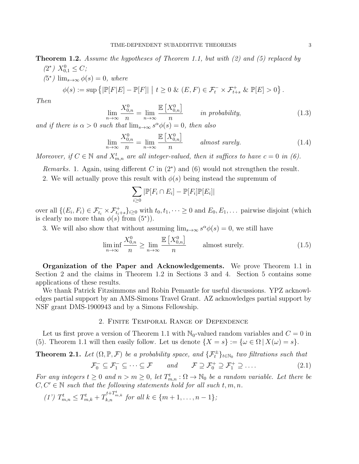**Theorem 1.2.** Assume the hypotheses of Theorem 1.1, but with  $(2)$  and  $(5)$  replaced by  $(2^*)$   $X_{0,1}^0 \leq C;$ 

 $(5^*)$   $\lim_{s\to\infty} \phi(s) = 0$ , where

$$
\phi(s) := \sup \left\{ |\mathbb{P}[F|E] - \mathbb{P}[F]| \middle| t \ge 0 \& (E, F) \in \mathcal{F}_t^- \times \mathcal{F}_{t+s}^+ \& \mathbb{P}[E] > 0 \right\}.
$$

Then

$$
\lim_{n \to \infty} \frac{X_{0,n}^0}{n} = \lim_{n \to \infty} \frac{\mathbb{E}\left[X_{0,n}^0\right]}{n} \qquad in \text{ probability}, \tag{1.3}
$$

and if there is  $\alpha > 0$  such that  $\lim_{s \to \infty} s^{\alpha} \phi(s) = 0$ , then also

$$
\lim_{n \to \infty} \frac{X_{0,n}^0}{n} = \lim_{n \to \infty} \frac{\mathbb{E}\left[X_{0,n}^0\right]}{n} \quad \text{almost surely.} \tag{1.4}
$$

Moreover, if  $C \in \mathbb{N}$  and  $X_{m,n}^t$  are all integer-valued, then it suffices to have  $c = 0$  in (6).

- Remarks. 1. Again, using different C in  $(2^*)$  and  $(6)$  would not strengthen the result.
- 2. We will actually prove this result with  $\phi(s)$  being instead the supremum of

$$
\sum_{i\geq 0} |\mathbb{P}[F_i \cap E_i] - \mathbb{P}[F_i] \mathbb{P}[E_i]|
$$

over all  $\{(E_i, F_i) \in \mathcal{F}_{t_i}^- \times \mathcal{F}_{t_i+s}^+\}_{i \geq 0}$  with  $t_0, t_1, \dots \geq 0$  and  $E_0, E_1, \dots$  pairwise disjoint (which is clearly no more than  $\phi(s)$  from  $(5^*)$ ).

3. We will also show that without assuming  $\lim_{s\to\infty} s^{\alpha} \phi(s) = 0$ , we still have

$$
\liminf_{n \to \infty} \frac{X_{0,n}^0}{n} \ge \lim_{n \to \infty} \frac{\mathbb{E}\left[X_{0,n}^0\right]}{n} \quad \text{almost surely.} \tag{1.5}
$$

Organization of the Paper and Acknowledgements. We prove Theorem 1.1 in Section 2 and the claims in Theorem 1.2 in Sections 3 and 4. Section 5 contains some applications of these results.

We thank Patrick Fitzsimmons and Robin Pemantle for useful discussions. YPZ acknowledges partial support by an AMS-Simons Travel Grant. AZ acknowledges partial support by NSF grant DMS-1900943 and by a Simons Fellowship.

# 2. Finite Temporal Range of Dependence

Let us first prove a version of Theorem 1.1 with  $\mathbb{N}_0$ -valued random variables and  $C = 0$  in (5). Theorem 1.1 will then easily follow. Let us denote  $\{X = s\} := \{\omega \in \Omega \mid X(\omega) = s\}.$ 

**Theorem 2.1.** Let  $(\Omega, \mathbb{P}, \mathcal{F})$  be a probability space, and  $\{\mathcal{F}_t^{\pm}\}_{t \in \mathbb{N}_0}$  two filtrations such that

$$
\mathcal{F}_0^- \subseteq \mathcal{F}_1^- \subseteq \cdots \subseteq \mathcal{F} \qquad and \qquad \mathcal{F} \supseteq \mathcal{F}_0^+ \supseteq \mathcal{F}_1^+ \supseteq \ldots \qquad (2.1)
$$

For any integers  $t \geq 0$  and  $n > m \geq 0$ , let  $T_{m,n}^t : \Omega \to \mathbb{N}_0$  be a random variable. Let there be  $C, C' \in \mathbb{N}$  such that the following statements hold for all such  $t, m, n$ .

(1') 
$$
T_{m,n}^t \leq T_{m,k}^t + T_{k,n}^{t+T_{m,k}^t}
$$
 for all  $k \in \{m+1,\ldots,n-1\}$ ;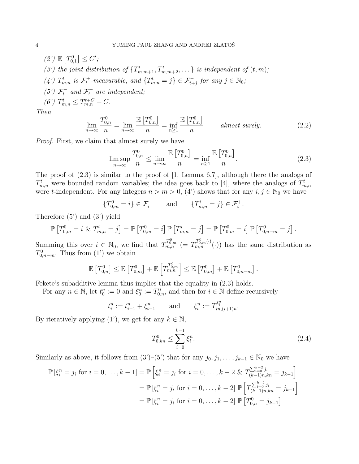$(2') \mathbb{E}[T_{0,1}^0] \leq C';$ (3') the joint distribution of  $\{T^t_{m,m+1}, T^t_{m,m+2}, \dots\}$  is independent of  $(t, m)$ ; (4')  $T_{m,n}^t$  is  $\mathcal{F}_t^+$ -measurable, and  $\{T_{m,n}^t = j\} \in \mathcal{F}_{t+j}^-$  for any  $j \in \mathbb{N}_0$ ; (5')  $\mathcal{F}_t^-$  and  $\mathcal{F}_t^+$  are independent; (6')  $T_{m,n}^t \leq T_{m,n}^{t+C} + C$ .

Then

$$
\lim_{n \to \infty} \frac{T_{0,n}^0}{n} = \lim_{n \to \infty} \frac{\mathbb{E}\left[T_{0,n}^0\right]}{n} = \inf_{n \ge 1} \frac{\mathbb{E}\left[T_{0,n}^0\right]}{n} \quad \text{almost surely.} \tag{2.2}
$$

Proof. First, we claim that almost surely we have

$$
\limsup_{n \to \infty} \frac{T_{0,n}^0}{n} \le \lim_{n \to \infty} \frac{\mathbb{E}\left[T_{0,n}^0\right]}{n} = \inf_{n \ge 1} \frac{\mathbb{E}\left[T_{0,n}^0\right]}{n}.
$$
\n(2.3)

The proof of  $(2.3)$  is similar to the proof of [1, Lemma 6.7], although there the analogs of  $T_{m,n}^t$  were bounded random variables; the idea goes back to [4], where the analogs of  $T_{m,n}^t$ were t-independent. For any integers  $n > m > 0$ , (4') shows that for any  $i, j \in \mathbb{N}_0$  we have

$$
\{T_{0,m}^0 = i\} \in \mathcal{F}_i^- \qquad \text{and} \qquad \{T_{m,n}^i = j\} \in \mathcal{F}_i^+.
$$

Therefore (5') and (3') yield

$$
\mathbb{P}\left[T_{0,m}^0 = i \& T_{m,n}^i = j\right] = \mathbb{P}\left[T_{0,m}^0 = i\right] \mathbb{P}\left[T_{m,n}^i = j\right] = \mathbb{P}\left[T_{0,m}^0 = i\right] \mathbb{P}\left[T_{0,n-m}^0 = j\right].
$$

Summing this over  $i \in \mathbb{N}_0$ , we find that  $T_{m,n}^{T_{0,m}^0}$  (=  $T_{m,n}^{T_{0,m}^0}(\cdot)$ ) has the same distribution as  $T_{0,n-m}^0$ . Thus from (1') we obtain

$$
\mathbb{E}\left[T_{0,n}^0\right] \leq \mathbb{E}\left[T_{0,m}^0\right] + \mathbb{E}\left[T_{m,n}^{T_{0,m}^0}\right] \leq \mathbb{E}\left[T_{0,m}^0\right] + \mathbb{E}\left[T_{0,n-m}^0\right].
$$

Fekete's subadditive lemma thus implies that the equality in (2.3) holds.

For any  $n \in \mathbb{N}$ , let  $t_0^n := 0$  and  $\xi_0^n := T_{0,n}^0$ , and then for  $i \in \mathbb{N}$  define recursively

$$
t_i^n := t_{i-1}^n + \xi_{i-1}^n \qquad \text{and} \qquad \xi_i^n := T_{in,(i+1)n}^{t_i^n}
$$

By iteratively applying (1'), we get for any  $k \in \mathbb{N}$ ,

$$
T_{0,kn}^0 \le \sum_{i=0}^{k-1} \xi_i^n.
$$
 (2.4)

.

Similarly as above, it follows from  $(3')-(5')$  that for any  $j_0, j_1, \ldots, j_{k-1} \in \mathbb{N}_0$  we have

$$
\mathbb{P}\left[\xi_i^n = j_i \text{ for } i = 0, \dots, k-1\right] = \mathbb{P}\left[\xi_i^n = j_i \text{ for } i = 0, \dots, k-2 \& T_{(k-1)n, kn}^{\sum_{i=0}^{k-2} j_i} = j_{k-1}\right]
$$

$$
= \mathbb{P}\left[\xi_i^n = j_i \text{ for } i = 0, \dots, k-2\right] \mathbb{P}\left[T_{(k-1)n, kn}^{\sum_{i=0}^{k-2} j_i} = j_{k-1}\right]
$$

$$
= \mathbb{P}\left[\xi_i^n = j_i \text{ for } i = 0, \dots, k-2\right] \mathbb{P}\left[T_{0,n}^0 = j_{k-1}\right]
$$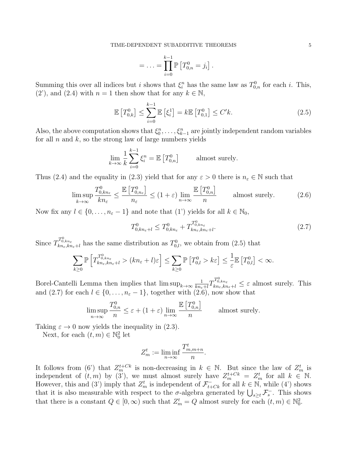$$
= \ldots = \prod_{i=0}^{k-1} \mathbb{P}\left[T_{0,n}^0 = j_i\right].
$$

Summing this over all indices but *i* shows that  $\xi_i^n$  has the same law as  $T_{0,n}^0$  for each *i*. This, (2'), and (2.4) with  $n = 1$  then show that for any  $k \in \mathbb{N}$ ,

$$
\mathbb{E}\left[T_{0,k}^0\right] \le \sum_{i=0}^{k-1} \mathbb{E}\left[\xi_i^1\right] = k \mathbb{E}\left[T_{0,1}^0\right] \le C' k. \tag{2.5}
$$

Also, the above computation shows that  $\xi_0^n, \ldots, \xi_{k-1}^n$  are jointly independent random variables for all  $n$  and  $k$ , so the strong law of large numbers yields

$$
\lim_{k \to \infty} \frac{1}{k} \sum_{i=0}^{k-1} \xi_i^n = \mathbb{E}\left[T_{0,n}^0\right] \qquad \text{almost surely.}
$$

Thus (2.4) and the equality in (2.3) yield that for any  $\varepsilon > 0$  there is  $n_{\varepsilon} \in \mathbb{N}$  such that

$$
\limsup_{k \to \infty} \frac{T_{0,kn_{\varepsilon}}^0}{kn_{\varepsilon}} \le \frac{\mathbb{E}\left[T_{0,n_{\varepsilon}}^0\right]}{n_{\varepsilon}} \le (1+\varepsilon) \lim_{n \to \infty} \frac{\mathbb{E}\left[T_{0,n}^0\right]}{n} \quad \text{almost surely.}
$$
 (2.6)

Now fix any  $l \in \{0, \ldots, n_{\varepsilon} - 1\}$  and note that  $(1')$  yields for all  $k \in \mathbb{N}_0$ ,

$$
T_{0,kn_{\varepsilon}+l}^{0} \leq T_{0,kn_{\varepsilon}}^{0} + T_{kn_{\varepsilon},kn_{\varepsilon}+l}^{T_{0,kn_{\varepsilon}}^{0}}.
$$
\n
$$
(2.7)
$$

Since  $T_{kn_{\varepsilon},kn_{\varepsilon}+l}^{T_{0,kn_{\varepsilon}}^{0}}$  has the same distribution as  $T_{0,l}^{0}$ , we obtain from (2.5) that

$$
\sum_{k\geq 0} \mathbb{P}\left[T_{kn_{\varepsilon},kn_{\varepsilon}+l}^{T_{0,kn_{\varepsilon}}^{0}} > (kn_{\varepsilon}+l)\varepsilon\right] \leq \sum_{k\geq 0} \mathbb{P}\left[T_{0,l}^{0} > k\varepsilon\right] \leq \frac{1}{\varepsilon} \mathbb{E}\left[T_{0,l}^{0}\right] < \infty.
$$

Borel-Cantelli Lemma then implies that  $\limsup_{k\to\infty} \frac{1}{kn^s}$  $\frac{1}{kn_{\varepsilon}+l}T^{T_{0,kn_{\varepsilon}}^0}_{kn_{\varepsilon},kn_{\varepsilon}+l}\leq \varepsilon$  almost surely. This and (2.7) for each  $l \in \{0, \ldots, n_{\varepsilon} - 1\}$ , together with (2.6), now show that

$$
\limsup_{n \to \infty} \frac{T_{0,n}^0}{n} \le \varepsilon + (1+\varepsilon) \lim_{n \to \infty} \frac{\mathbb{E}\left[T_{0,n}^0\right]}{n} \quad \text{almost surely.}
$$

Taking  $\varepsilon \to 0$  now yields the inequality in (2.3).

Next, for each  $(t, m) \in \mathbb{N}_0^2$  let

$$
Z_m^t := \liminf_{n \to \infty} \frac{T_{m,m+n}^t}{n}.
$$

It follows from (6') that  $Z_m^{t+Ck}$  is non-decreasing in  $k \in \mathbb{N}$ . But since the law of  $Z_m^t$  is independent of  $(t,m)$  by  $(3')$ , we must almost surely have  $Z_m^{t+Ck} = Z_m^t$  for all  $k \in \mathbb{N}$ . However, this and (3') imply that  $Z_m^t$  is independent of  $\mathcal{F}_{t+C_k}^-$  for all  $k \in \mathbb{N}$ , while (4') shows that it is also measurable with respect to the  $\sigma$ -algebra generated by  $\bigcup_{s\geq t} \mathcal{F}_s^-$ . This shows that there is a constant  $Q \in [0, \infty)$  such that  $Z_m^t = Q$  almost surely for each  $(t, m) \in \mathbb{N}_0^2$ .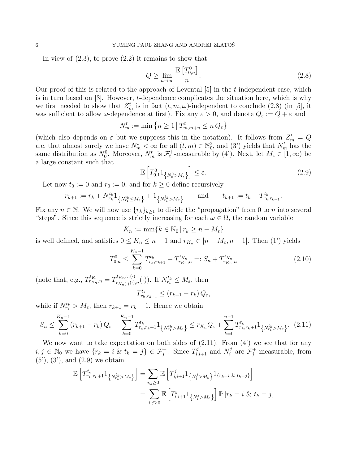In view of  $(2.3)$ , to prove  $(2.2)$  it remains to show that

$$
Q \ge \lim_{n \to \infty} \frac{\mathbb{E}\left[T_{0,n}^0\right]}{n}.\tag{2.8}
$$

Our proof of this is related to the approach of Levental  $[5]$  in the t-independent case, which is in turn based on [3]. However, t-dependence complicates the situation here, which is why we first needed to show that  $Z_m^t$  is in fact  $(t, m, \omega)$ -independent to conclude (2.8) (in [5], it was sufficient to allow  $\omega$ -dependence at first). Fix any  $\varepsilon > 0$ , and denote  $Q_{\varepsilon} := Q + \varepsilon$  and

$$
N_m^t := \min\left\{n \ge 1 \, \middle| \, T_{m,m+n}^t \le n \, Q_\varepsilon\right\}
$$

(which also depends on  $\varepsilon$  but we suppress this in the notation). It follows from  $Z_m^t = Q$ a.e. that almost surely we have  $N_m^t < \infty$  for all  $(t, m) \in \mathbb{N}_0^2$ , and  $(3')$  yields that  $N_m^t$  has the same distribution as  $N_0^0$ . Moreover,  $N_m^t$  is  $\mathcal{F}_t^+$ -measurable by (4'). Next, let  $M_\varepsilon \in [1,\infty)$  be a large constant such that

$$
\mathbb{E}\left[T_{0,1}^{0}1_{\{N_{0}^{0}>M_{\varepsilon}\}}\right] \leq \varepsilon.
$$
\n(2.9)

Let now  $t_0 := 0$  and  $r_0 := 0$ , and for  $k \geq 0$  define recursively

$$
r_{k+1} := r_k + N_{r_k}^{t_k} 1_{\{N_{r_k}^{t_k} \le M_{\varepsilon}\}} + 1_{\{N_{r_k}^{t_k} > M_{\varepsilon}\}} \quad \text{and} \quad t_{k+1} := t_k + T_{r_k, r_{k+1}}^{t_k}.
$$

Fix any  $n \in \mathbb{N}$ . We will now use  $\{r_k\}_{k>1}$  to divide the "propagation" from 0 to n into several "steps". Since this sequence is strictly increasing for each  $\omega \in \Omega$ , the random variable

$$
K_n := \min\{k \in \mathbb{N}_0 \,|\, r_k \ge n - M_\varepsilon\}
$$

is well defined, and satisfies  $0 \leq K_n \leq n-1$  and  $r_{K_n} \in [n-M_{\varepsilon}, n-1]$ . Then (1') yields

$$
T_{0,n}^0 \le \sum_{k=0}^{K_n-1} T_{r_k, r_{k+1}}^{t_k} + T_{r_{K_n}, n}^{t_{K_n}} =: S_n + T_{r_{K_n}, n}^{t_{K_n}} \tag{2.10}
$$

(note that, e.g.,  $T^{t_{K_n}}_{r_{K_n},n} = T^{t_{K_n(\cdot)}(\cdot)}_{r_{K_n(\cdot)}(\cdot)}$  $r_{K_n(\cdot)}^{K_{K_n(\cdot)}(\cdot)}$  (·)). If  $N_{r_k}^{t_k} \leq M_{\varepsilon}$ , then

$$
T_{r_k,r_{k+1}}^{t_k} \le (r_{k+1} - r_k) Q_{\varepsilon},
$$

while if  $N_{r_k}^{t_k} > M_{\varepsilon}$ , then  $r_{k+1} = r_k + 1$ . Hence we obtain

$$
S_n \leq \sum_{k=0}^{K_n-1} (r_{k+1} - r_k) Q_{\varepsilon} + \sum_{k=0}^{K_n-1} T_{r_k, r_k+1}^{t_k} \{ N_{r_k}^{t_k} > M_{\varepsilon} \} \leq r_{K_n} Q_{\varepsilon} + \sum_{k=0}^{n-1} T_{r_k, r_k+1}^{t_k} \{ N_{r_k}^{t_k} > M_{\varepsilon} \}.
$$
 (2.11)

We now want to take expectation on both sides of  $(2.11)$ . From  $(4')$  we see that for any  $i, j \in \mathbb{N}_0$  we have  $\{r_k = i \& t_k = j\} \in \mathcal{F}_j$ . Since  $T_{i,i+1}^j$  and  $N_i^j$  $i^j$  are  $\mathcal{F}^+_j$  $j^+$ -measurable, from  $(5'), (3'),$  and  $(2.9)$  we obtain

$$
\mathbb{E}\left[T_{r_k,r_k+1}^{t_k}\mathbb{1}_{\left\{N_{r_k}^{t_k} > M_{\varepsilon}\right\}}\right] = \sum_{i,j\geq 0} \mathbb{E}\left[T_{i,i+1}^j\mathbb{1}_{\left\{N_i^j > M_{\varepsilon}\right\}}\mathbb{1}_{\left\{r_k=i\ \&\ t_k=j\right\}}\right]
$$

$$
= \sum_{i,j\geq 0} \mathbb{E}\left[T_{i,i+1}^j\mathbb{1}_{\left\{N_i^j > M_{\varepsilon}\right\}}\right] \mathbb{P}\left[r_k=i\ \&\ t_k=j\right]
$$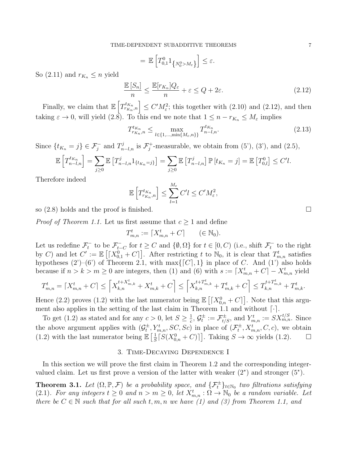$$
= \mathbb{E}\left[T_{0,1}^0 1_{\left\{N_0^0 > M_{\varepsilon}\right\}}\right] \leq \varepsilon.
$$

So (2.11) and  $r_{K_n} \leq n$  yield

$$
\frac{\mathbb{E}\left[S_n\right]}{n} \le \frac{\mathbb{E}[r_{K_n}]Q_{\varepsilon}}{n} + \varepsilon \le Q + 2\varepsilon. \tag{2.12}
$$

Finally, we claim that  $\mathbb{E}\left[T^{t_{Kn}}_{r_{Kn},n}\right] \leq C'M_\varepsilon^2$ ; this together with  $(2.10)$  and  $(2.12)$ , and then taking  $\varepsilon \to 0$ , will yield (2.8). To this end we note that  $1 \leq n - r_{K_n} \leq M_{\varepsilon}$  implies

$$
T_{r_{K_n},n}^{t_{K_n}} \le \max_{l \in \{1,\dots,\min\{M_{\varepsilon},n\}\}} T_{n-l,n}^{t_{K_n}}.
$$
\n(2.13)

Since  $\{t_{K_n} = j\} \in \mathcal{F}_j^-$  and  $T_{n-l,n}^j$  is  $\mathcal{F}_j^+$  $j^+$ -measurable, we obtain from  $(5')$ ,  $(3')$ , and  $(2.5)$ ,

$$
\mathbb{E}\left[T_{n-l,n}^{t_{K_n}}\right] = \sum_{j\geq 0} \mathbb{E}\left[T_{n-l,n}^j 1_{\{t_{K_n}=j\}}\right] = \sum_{j\geq 0} \mathbb{E}\left[T_{n-l,n}^j\right] \mathbb{P}\left[t_{K_n}=j\right] = \mathbb{E}\left[T_{0,l}^0\right] \leq C'l.
$$

Therefore indeed

$$
\mathbb{E}\left[T_{r_{K_n},n}^{t_{K_n}}\right] \le \sum_{l=1}^{M_{\varepsilon}} C'l \le C'M_{\varepsilon}^2,
$$

so  $(2.8)$  holds and the proof is finished.

*Proof of Theorem 1.1.* Let us first assume that  $c \geq 1$  and define

$$
T_{m,n}^t := \lceil X_{m,n}^t + C \rceil \qquad (\in \mathbb{N}_0).
$$

Let us redefine  $\mathcal{F}_t^-$  to be  $\mathcal{F}_{t-}^ \overline{t}_{t-C}$  for  $t \ge C$  and { $\emptyset, Ω$ } for  $t \in [0, C)$  (i.e., shift  $\mathcal{F}^-_t$  to the right by C) and let  $C' := \mathbb{E} \left[ \left[ X_{0,1}^0 + C \right] \right]$ . After restricting t to  $\mathbb{N}_0$ , it is clear that  $T_{m,n}^t$  satisfies hypotheses  $(2')-(6')$  of Theorem 2.1, with max $\{[C], 1\}$  in place of C. And  $(1')$  also holds because if  $n > k > m \geq 0$  are integers, then (1) and (6) with  $s := \lceil X_{m,n}^t + C \rceil - X_{m,n}^t$  yield

$$
T_{m,n}^t = \left\lceil X_{m,n}^t + C \right\rceil \le \left\lceil X_{k,n}^{t + X_{m,k}^t} + X_{m,k}^t + C \right\rceil \le \left\lceil X_{k,n}^{t + T_{m,k}^t} + T_{m,k}^t + C \right\rceil \le T_{k,n}^{t + T_{m,k}^t} + T_{m,k}^t.
$$

Hence (2.2) proves (1.2) with the last numerator being  $\mathbb{E} \left[ \left[ X_{0,n}^0 + C \right] \right]$ . Note that this argument also applies in the setting of the last claim in Theorem 1.1 and without  $\lceil \cdot \rceil$ .

To get (1.2) as stated and for any  $c > 0$ , let  $S \geq \frac{1}{c}$  $\frac{1}{c}, \mathcal{G}_t^{\pm} := \mathcal{F}_{t/S}^{\pm}$ , and  $Y_{m,n}^t := SX_{m,n}^{t/S}$ . Since the above argument applies with  $(\mathcal{G}_t^{\pm}, Y_{m,n}^t, SC, Sc)$  in place of  $(\mathcal{F}_t^{\pm}, X_{m,n}^t, C, c)$ , we obtain  $(1.2)$  with the last numerator being  $\mathbb{E}\left[\frac{1}{5}\right]$  $\frac{1}{S}[S(X_{0,n}^0+C)]$ . Taking  $S \to \infty$  yields (1.2).  $\square$ 

## 3. Time-Decaying Dependence I

In this section we will prove the first claim in Theorem 1.2 and the corresponding integervalued claim. Let us first prove a version of the latter with weaker  $(2^*)$  and stronger  $(5^*)$ .

**Theorem 3.1.** Let  $(\Omega, \mathbb{P}, \mathcal{F})$  be a probability space, and  $\{\mathcal{F}_t^{\pm}\}_{t \in \mathbb{N}_0}$  two filtrations satisfying (2.1). For any integers  $t \geq 0$  and  $n > m \geq 0$ , let  $X_{m,n}^t : \Omega \to \mathbb{N}_0$  be a random variable. Let there be  $C \in \mathbb{N}$  such that for all such t, m, n we have (1) and (3) from Theorem 1.1, and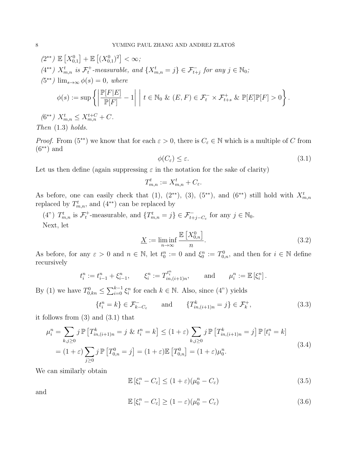$$
(2^{**}) \mathbb{E}\left[X_{0,1}^0\right] + \mathbb{E}\left[(X_{0,1}^0)^2\right] < \infty;
$$
\n
$$
(4^{**}) \ X_{m,n}^t \ \text{is} \ \mathcal{F}_t^+ \text{-measurable, and} \ \{X_{m,n}^t = j\} \in \mathcal{F}_{t+j}^- \text{for any } j \in \mathbb{N}_0;
$$
\n
$$
(5^{**}) \ \lim_{s \to \infty} \phi(s) = 0, \ \text{where}
$$
\n
$$
\phi(s) := \sup \left\{ \left| \frac{\mathbb{P}[F|E]}{\mathbb{P}[F]} - 1 \right| \ \middle| \ t \in \mathbb{N}_0 \ \& (E, F) \in \mathcal{F}_t^- \times \mathcal{F}_{t+s}^+ \ \& \mathbb{P}[E]\mathbb{P}[F] > 0 \right\}.
$$
\n
$$
(6^{**}) \ X_{m,n}^t \leq X_{m,n}^{t+C} + C.
$$

Then (1.3) holds.

*Proof.* From  $(5^{**})$  we know that for each  $\varepsilon > 0$ , there is  $C_{\varepsilon} \in \mathbb{N}$  which is a multiple of C from (6∗∗) and

$$
\phi(C_{\varepsilon}) \le \varepsilon. \tag{3.1}
$$

Let us then define (again suppressing  $\varepsilon$  in the notation for the sake of clarity)

$$
T_{m,n}^t := X_{m,n}^t + C_{\varepsilon}.
$$

As before, one can easily check that (1),  $(2^{**})$ , (3),  $(5^{**})$ , and  $(6^{**})$  still hold with  $X_{m,n}^t$ replaced by  $T_{m,n}^t$ , and  $(4^{**})$  can be replaced by

(4")  $T_{m,n}^t$  is  $\mathcal{F}_t^+$ -measurable, and  $\{T_{m,n}^t = j\} \in \mathcal{F}_{t+j-C_{\varepsilon}}^-$  for any  $j \in \mathbb{N}_0$ . Next, let

$$
\underline{X} := \liminf_{n \to \infty} \frac{\mathbb{E}\left[X_{0,n}^0\right]}{n}.\tag{3.2}
$$

As before, for any  $\varepsilon > 0$  and  $n \in \mathbb{N}$ , let  $t_0^n := 0$  and  $\xi_0^n := T_{0,n}^0$ , and then for  $i \in \mathbb{N}$  define recursively

$$
t_i^n := t_{i-1}^n + \xi_{i-1}^n
$$
,  $\xi_i^n := T_{in,(i+1)n}^{t_i^n}$ , and  $\mu_i^n := \mathbb{E}[\xi_i^n]$ .

By (1) we have  $T_{0,kn}^0 \leq \sum_{i=0}^{k-1} \xi_i^n$  for each  $k \in \mathbb{N}$ . Also, since  $(4)$  yields

$$
\{t_i^n = k\} \in \mathcal{F}_{k-C_{\varepsilon}}^- \qquad \text{and} \qquad \{T_{in,(i+1)n}^k = j\} \in \mathcal{F}_k^+, \tag{3.3}
$$

it follows from (3) and (3.1) that

$$
\mu_i^n = \sum_{k,j\geq 0} j \mathbb{P} \left[ T_{in,(i+1)n}^k = j \& t_i^n = k \right] \leq (1+\varepsilon) \sum_{k,j\geq 0} j \mathbb{P} \left[ T_{in,(i+1)n}^k = j \right] \mathbb{P} \left[ t_i^n = k \right]
$$
  
=  $(1+\varepsilon) \sum_{j\geq 0} j \mathbb{P} \left[ T_{0,n}^0 = j \right] = (1+\varepsilon) \mathbb{E} \left[ T_{0,n}^0 \right] = (1+\varepsilon) \mu_0^n.$  (3.4)

We can similarly obtain

$$
\mathbb{E}\left[\xi_i^n - C_{\varepsilon}\right] \le (1+\varepsilon)(\mu_0^n - C_{\varepsilon})\tag{3.5}
$$

and

$$
\mathbb{E}\left[\xi_i^n - C_{\varepsilon}\right] \ge (1 - \varepsilon)(\mu_0^n - C_{\varepsilon})\tag{3.6}
$$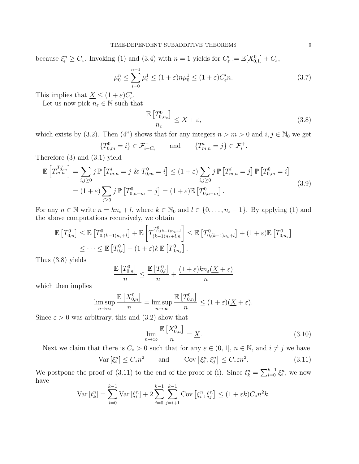because  $\xi_i^n \geq C_{\varepsilon}$ . Invoking (1) and (3.4) with  $n = 1$  yields for  $C'_{\varepsilon} := \mathbb{E}[X_{0,1}^0] + C_{\varepsilon}$ ,

$$
\mu_0^n \le \sum_{i=0}^{n-1} \mu_i^1 \le (1+\varepsilon)n\mu_0^1 \le (1+\varepsilon)C_{\varepsilon}'^n. \tag{3.7}
$$

This implies that  $\underline{X} \leq (1 + \varepsilon)C'_{\varepsilon}$ .

Let us now pick  $n_{\varepsilon} \in \mathbb{N}$  such that

$$
\frac{\mathbb{E}\left[T_{0,n_{\varepsilon}}^{0}\right]}{n_{\varepsilon}} \leq \underline{X} + \varepsilon,\tag{3.8}
$$

.

which exists by (3.2). Then (4") shows that for any integers  $n > m > 0$  and  $i, j \in \mathbb{N}_0$  we get

$$
\{T_{0,m}^0 = i\} \in \mathcal{F}_{i-C_{\varepsilon}}^- \qquad \text{and} \qquad \{T_{m,n}^i = j\} \in \mathcal{F}_i^+
$$

Therefore (3) and (3.1) yield

$$
\mathbb{E}\left[T_{m,n}^{T_{0,m}^{0}}\right] = \sum_{i,j\geq 0} j \, \mathbb{P}\left[T_{m,n}^{i} = j \, \& \, T_{0,m}^{0} = i\right] \leq (1+\varepsilon) \sum_{i,j\geq 0} j \, \mathbb{P}\left[T_{m,n}^{i} = j\right] \, \mathbb{P}\left[T_{0,m}^{0} = i\right]
$$
\n
$$
= (1+\varepsilon) \sum_{j\geq 0} j \, \mathbb{P}\left[T_{0,n-m}^{0} = j\right] = (1+\varepsilon) \mathbb{E}\left[T_{0,n-m}^{0}\right].
$$
\n(3.9)

For any  $n \in \mathbb{N}$  write  $n = kn_{\varepsilon} + l$ , where  $k \in \mathbb{N}_0$  and  $l \in \{0, ..., n_{\varepsilon} - 1\}$ . By applying (1) and the above computations recursively, we obtain

$$
\mathbb{E}\left[T_{0,n}^0\right] \leq \mathbb{E}\left[T_{0,(k-1)n_{\varepsilon}+l}^0\right] + \mathbb{E}\left[T_{(k-1)n_{\varepsilon}+l,n}^{T_{0,(k-1)n_{\varepsilon}+l}^0}\right] \leq \mathbb{E}\left[T_{0,(k-1)n_{\varepsilon}+l}^0\right] + (1+\varepsilon)\mathbb{E}\left[T_{0,n_{\varepsilon}}^0\right]
$$
  

$$
\leq \cdots \leq \mathbb{E}\left[T_{0,l}^0\right] + (1+\varepsilon)k \mathbb{E}\left[T_{0,n_{\varepsilon}}^0\right].
$$

Thus (3.8) yields

$$
\frac{\mathbb{E}\left[T_{0,n}^{0}\right]}{n} \leq \frac{\mathbb{E}\left[T_{0,l}^{0}\right]}{n} + \frac{(1+\varepsilon)kn_{\varepsilon}(\underline{X}+\varepsilon)}{n}
$$

which then implies

$$
\limsup_{n \to \infty} \frac{\mathbb{E}\left[X_{0,n}^0\right]}{n} = \limsup_{n \to \infty} \frac{\mathbb{E}\left[T_{0,n}^0\right]}{n} \le (1+\varepsilon)(\underline{X} + \varepsilon).
$$

Since  $\varepsilon > 0$  was arbitrary, this and  $(3.2)$  show that

$$
\lim_{n \to \infty} \frac{\mathbb{E}\left[X_{0,n}^0\right]}{n} = \underline{X}.\tag{3.10}
$$

Next we claim that there is  $C_* > 0$  such that for any  $\varepsilon \in (0,1], n \in \mathbb{N}$ , and  $i \neq j$  we have

$$
\text{Var}\left[\xi_i^n\right] \le C_* n^2 \qquad \text{and} \qquad \text{Cov}\left[\xi_i^n, \xi_j^n\right] \le C_* \varepsilon n^2. \tag{3.11}
$$

We postpone the proof of (3.11) to the end of the proof of (i). Since  $t_k^n = \sum_{i=0}^{k-1} \xi_i^n$ , we now have

$$
\text{Var}\left[t_k^n\right] = \sum_{i=0}^{k-1} \text{Var}\left[\xi_i^n\right] + 2 \sum_{i=0}^{k-1} \sum_{j=i+1}^{k-1} \text{Cov}\left[\xi_i^n, \xi_j^n\right] \le (1 + \varepsilon k) C_* n^2 k.
$$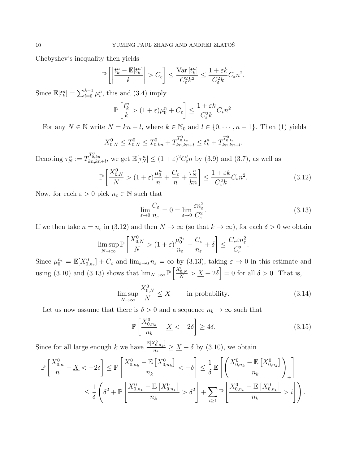Chebyshev's inequality then yields

$$
\mathbb{P}\left[\left|\frac{t_k^n - \mathbb{E}[t_k^n]}{k}\right| > C_{\varepsilon}\right] \le \frac{\text{Var}\left[t_k^n\right]}{C_{\varepsilon}^2 k^2} \le \frac{1 + \varepsilon k}{C_{\varepsilon}^2 k} C_* n^2.
$$

Since  $\mathbb{E}[t_k^n] = \sum_{i=0}^{k-1} \mu_i^n$ , this and (3.4) imply

$$
\mathbb{P}\left[\frac{t_k^n}{k} > (1+\varepsilon)\mu_0^n + C_{\varepsilon}\right] \le \frac{1+\varepsilon k}{C_{\varepsilon}^2 k} C_* n^2.
$$

For any  $N \in \mathbb{N}$  write  $N = kn + l$ , where  $k \in \mathbb{N}_0$  and  $l \in \{0, \dots, n-1\}$ . Then (1) yields

$$
X_{0,N}^0 \le T_{0,N}^0 \le T_{0,kn}^0 + T_{kn,kn+l}^{T_{0,kn}^0} \le t_k^n + T_{kn,kn+l}^{T_{0,kn}^0}
$$

Denoting  $\tau_N^n := T_{kn,kn+l}^{T_{0,kn}^0}$ , we get  $\mathbb{E}[\tau_N^n] \leq (1+\varepsilon)^2 C_{\varepsilon}^{\prime} n$  by (3.9) and (3.7), as well as

$$
\mathbb{P}\left[\frac{X_{0,N}^0}{N} > (1+\varepsilon)\frac{\mu_0^n}{n} + \frac{C_\varepsilon}{n} + \frac{\tau_N^n}{kn}\right] \le \frac{1+\varepsilon k}{C_\varepsilon^2 k} C_* n^2. \tag{3.12}
$$

Now, for each  $\varepsilon > 0$  pick  $n_{\varepsilon} \in \mathbb{N}$  such that

$$
\lim_{\varepsilon \to 0} \frac{C_{\varepsilon}}{n_{\varepsilon}} = 0 = \lim_{\varepsilon \to 0} \frac{\varepsilon n_{\varepsilon}^2}{C_{\varepsilon}^2}.
$$
\n(3.13)

.

If we then take  $n = n_{\varepsilon}$  in (3.12) and then  $N \to \infty$  (so that  $k \to \infty$ ), for each  $\delta > 0$  we obtain

$$
\limsup_{N \to \infty} \mathbb{P}\left[\frac{X_{0,N}^0}{N} > (1+\varepsilon)\frac{\mu_0^{n_{\varepsilon}}}{n_{\varepsilon}} + \frac{C_{\varepsilon}}{n_{\varepsilon}} + \delta\right] \le \frac{C_* \varepsilon n_{\varepsilon}^2}{C_{\varepsilon}^2}.
$$

Since  $\mu_0^{n_{\varepsilon}} = \mathbb{E}[X_{0,n_{\varepsilon}}^0] + C_{\varepsilon}$  and  $\lim_{\varepsilon \to 0} n_{\varepsilon} = \infty$  by (3.13), taking  $\varepsilon \to 0$  in this estimate and using (3.10) and (3.13) shows that  $\lim_{N\to\infty} \mathbb{P}\left[\frac{X_{0,N}^0}{N} > \underline{X} + 2\delta\right] = 0$  for all  $\delta > 0$ . That is,

$$
\limsup_{N \to \infty} \frac{X_{0,N}^0}{N} \le \underline{X} \qquad \text{in probability.} \tag{3.14}
$$

Let us now assume that there is  $\delta > 0$  and a sequence  $n_k \to \infty$  such that

$$
\mathbb{P}\left[\frac{X_{0,n_k}^0}{n_k} - \underline{X} < -2\delta\right] \ge 4\delta. \tag{3.15}
$$

Since for all large enough k we have  $\frac{\mathbb{E}[X_{0,n_k}^0]}{n}$  $\frac{X_{0,n_k}!}{n_k} \geq \underline{X} - \delta$  by (3.10), we obtain

$$
\mathbb{P}\left[\frac{X_{0,n}^0}{n} - \underline{X} < -2\delta\right] \le \mathbb{P}\left[\frac{X_{0,n_k}^0 - \mathbb{E}\left[X_{0,n_k}^0\right]}{n_k} < -\delta\right] \le \frac{1}{\delta} \mathbb{E}\left[\left(\frac{X_{0,n_k}^0 - \mathbb{E}\left[X_{0,n_k}^0\right]}{n_k}\right)_+\right] \\
\le \frac{1}{\delta} \left(\delta^2 + \mathbb{P}\left[\frac{X_{0,n_k}^0 - \mathbb{E}\left[X_{0,n_k}^0\right]}{n_k} > \delta^2\right] + \sum_{i \ge 1} \mathbb{P}\left[\frac{X_{0,n_k}^0 - \mathbb{E}\left[X_{0,n_k}^0\right]}{n_k} > i\right]\right).
$$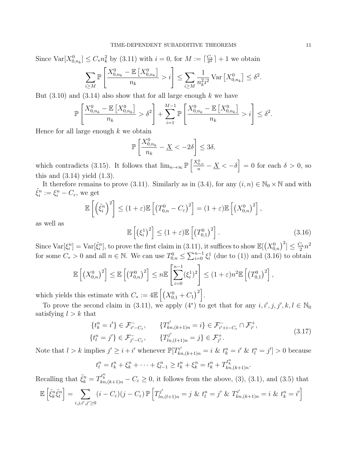Since  $\text{Var}[X_{0,n_k}^0] \leq C_* n_k^2$  by (3.11) with  $i = 0$ , for  $M := \lceil \frac{C_*}{\delta^2} \rceil$  $\frac{C_*}{\delta^2}$  + 1 we obtain  $\sum$ i≥M P  $X_{0,n_k}^0$  –  $\mathbb{E}\left[X_{0,n_k}^0\right]$  $n_k$  $\left\vert >i\right\vert \leq\sum\limits$ i≥M 1  $\frac{1}{n_k^2 i^2} \text{Var}\left[X_{0,n_k}^0\right] \le \delta^2.$ 

But  $(3.10)$  and  $(3.14)$  also show that for all large enough k we have

$$
\mathbb{P}\left[\frac{X_{0,n_k}^0-\mathbb{E}\left[X_{0,n_k}^0\right]}{n_k}>\delta^2\right]+\sum_{i=1}^{M-1}\mathbb{P}\left[\frac{X_{0,n_k}^0-\mathbb{E}\left[X_{0,n_k}^0\right]}{n_k}>i\right]\leq \delta^2.
$$

Hence for all large enough  $k$  we obtain

$$
\mathbb{P}\left[\frac{X_{0,n_k}^0}{n_k} - \underline{X} < -2\delta\right] \le 3\delta,
$$

which contradicts (3.15). It follows that  $\lim_{n\to\infty} \mathbb{P}\left[\frac{X_{0,n}^0}{n}-\underline{X}<-\delta\right]=0$  for each  $\delta>0$ , so this and  $(3.14)$  yield  $(1.3)$ .

It therefore remains to prove (3.11). Similarly as in (3.4), for any  $(i, n) \in \mathbb{N}_0 \times \mathbb{N}$  and with  $\tilde{\xi}_i^n := \xi_i^n - C_{\varepsilon}$ , we get

$$
\mathbb{E}\left[\left(\tilde{\xi}_i^n\right)^2\right] \le (1+\varepsilon)\mathbb{E}\left[\left(T_{0,n}^0 - C_{\varepsilon}\right)^2\right] = (1+\varepsilon)\mathbb{E}\left[\left(X_{0,n}^0\right)^2\right],
$$

as well as

$$
\mathbb{E}\left[\left(\xi_i^1\right)^2\right] \leq (1+\varepsilon)\mathbb{E}\left[\left(T_{0,1}^0\right)^2\right].\tag{3.16}
$$

Since  $\text{Var}[\xi_i^n] = \text{Var}[\tilde{\xi}_i^n]$ , to prove the first claim in (3.11), it suffices to show  $\mathbb{E}[(X_{0,n}^0)^2] \leq \frac{C_*}{2}$  $\frac{C_*}{2}n^2$ for some  $C_* > 0$  and all  $n \in \mathbb{N}$ . We can use  $T_{0,n}^0 \leq \sum_{i=0}^{n-1} \xi_i^1$  (due to (1)) and (3.16) to obtain

$$
\mathbb{E}\left[\left(X_{0,n}^0\right)^2\right] \leq \mathbb{E}\left[\left(T_{0,n}^0\right)^2\right] \leq n \mathbb{E}\left[\sum_{i=0}^{n-1}(\xi_i^1)^2\right] \leq (1+\varepsilon)n^2 \mathbb{E}\left[\left(T_{0,1}^0\right)^2\right],
$$

which yields this estimate with  $C_* := 4\mathbb{E}\left[\left(X_{0,1}^0 + C_1\right)^2\right]$ .

To prove the second claim in (3.11), we apply  $(4^*)$  to get that for any  $i, i', j, j', k, l \in \mathbb{N}_0$ satisfying  $l > k$  that

$$
\{t_k^n = i'\} \in \mathcal{F}_{i'-C_{\varepsilon}}^{-}, \qquad \{T_{kn,(k+1)n}^{i'} = i\} \in \mathcal{F}_{i'+i-C_{\varepsilon}}^{-} \cap \mathcal{F}_{i'}^{+}, \{t_l^n = j'\} \in \mathcal{F}_{j'-C_{\varepsilon}}^{-}, \qquad \{T_{ln,(l+1)n}^{j'} = j\} \in \mathcal{F}_{j'}^{+}.
$$
\n(3.17)

.

Note that  $l > k$  implies  $j' \geq i + i'$  whenever  $\mathbb{P}[T_{kn,(k+1)n}^{i'} = i \& t_k^n = i' \& t_l^n = j'] > 0$  because

$$
t_l^n = t_k^n + \xi_k^n + \dots + \xi_{l-1}^n \ge t_k^n + \xi_k^n = t_k^n + T_{kn,(k+1)n}^{t_k^n}
$$

Recalling that  $\tilde{\xi}_k^n = T_{kn,(k+1)n}^{t_k^n} - C_{\varepsilon} \ge 0$ , it follows from the above, (3), (3.1), and (3.5) that

$$
\mathbb{E}\left[\tilde{\xi}_k^n\tilde{\xi}_l^n\right] = \sum_{i,j,i',j'\geq 0} (i - C_{\varepsilon})(j - C_{\varepsilon}) \mathbb{P}\left[T_{ln,(l+1)n}^{j'} = j \& t_l^n = j' \& T_{kn,(k+1)n}^{i'} = i \& t_k^n = i'\right]
$$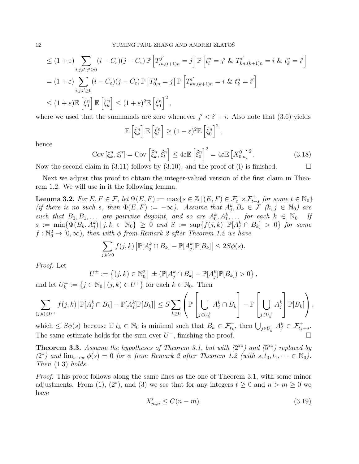$$
\leq (1+\varepsilon) \sum_{i,j,i',j'\geq 0} (i-C_{\varepsilon})(j-C_{\varepsilon}) \mathbb{P}\left[T_{ln,(l+1)n}^{j'}=j\right] \mathbb{P}\left[t_{l}^{n}=j'\ \&\ T_{kn,(k+1)n}^{i'}=i\ \&\ t_{k}^{n}=i'\right]
$$

$$
= (1+\varepsilon) \sum_{i,j,i'\geq 0} (i-C_{\varepsilon})(j-C_{\varepsilon}) \mathbb{P}\left[T_{0,n}^{0}=j\right] \mathbb{P}\left[T_{kn,(k+1)n}^{i'}=i\ \&\ t_{k}^{n}=i'\right]
$$

$$
\leq (1+\varepsilon) \mathbb{E}\left[\tilde{\xi}_{0}^{n}\right] \mathbb{E}\left[\tilde{\xi}_{k}^{n}\right] \leq (1+\varepsilon)^{2} \mathbb{E}\left[\tilde{\xi}_{0}^{n}\right]^{2},
$$

where we used that the summands are zero whenever  $j' < i' + i$ . Also note that (3.6) yields

$$
\mathbb{E}\left[\tilde{\xi}_k^n\right]\mathbb{E}\left[\tilde{\xi}_l^n\right] \ge (1-\varepsilon)^2 \mathbb{E}\left[\tilde{\xi}_0^n\right]^2,
$$

hence

$$
\text{Cov}\left[\xi_k^n, \xi_l^n\right] = \text{Cov}\left[\tilde{\xi}_k^n, \tilde{\xi}_l^n\right] \le 4\varepsilon \mathbb{E}\left[\tilde{\xi}_0^n\right]^2 = 4\varepsilon \mathbb{E}\left[X_{0,n}^0\right]^2. \tag{3.18}
$$

Now the second claim in (3.11) follows by (3.10), and the proof of (i) is finished.  $\square$ 

Next we adjust this proof to obtain the integer-valued version of the first claim in Theorem 1.2. We will use in it the following lemma.

**Lemma 3.2.** For  $E, F \in \mathcal{F}$ , let  $\Psi(E, F) := \max\{s \in \mathbb{Z} \mid (E, F) \in \mathcal{F}_t^-\times \mathcal{F}_{t+s}^+$  for some  $t \in \mathbb{N}_0\}$ (if there is no such s, then  $\Phi(E, F) := -\infty$ ). Assume that  $A_j^k, B_k \in \mathcal{F}$   $(k, j \in \mathbb{N}_0)$  are such that  $B_0, B_1, \ldots$  are pairwise disjoint, and so are  $A_0^k, A_1^k, \ldots$  for each  $k \in \mathbb{N}_0$ . If  $s := \min \{ \Psi(B_k, A_j^k) | j, k \in \mathbb{N}_0 \} \geq 0 \text{ and } S := \sup \{ f(j,k) | \mathbb{P}[A_j^k \cap B_k] > 0 \} \text{ for some } j \in \mathbb{N}_0 \}$  $f: \mathbb{N}_0^2 \to [0, \infty)$ , then with  $\phi$  from Remark 2 after Theorem 1.2 we have

$$
\sum_{j,k\geq 0} f(j,k) \left| \mathbb{P}[A_j^k \cap B_k] - \mathbb{P}[A_j^k] \mathbb{P}[B_k] \right| \leq 2S\phi(s).
$$

Proof. Let

$$
U^{\pm} := \left\{ (j,k) \in \mathbb{N}_0^2 \, \middle| \, \pm \left( \mathbb{P}[A_j^k \cap B_k] - \mathbb{P}[A_j^k] \mathbb{P}[B_k] \right) > 0 \right\},\
$$
  

$$
\subset \mathbb{N} \cup (j,k) \subset U^{\pm 1} \text{ for each } k \in \mathbb{N} \quad \text{Then}
$$

and let  $U_k^{\pm}$  $k_{k}^{\pm} := \{j \in \mathbb{N}_{0} \, | \, (j, k) \in U^{+}\}\$ for each  $k \in \mathbb{N}_{0}$ . Then

$$
\sum_{(j,k)\in U^+} f(j,k) \left| \mathbb{P}[A_j^k \cap B_k] - \mathbb{P}[A_j^k] \mathbb{P}[B_k] \right| \leq S \sum_{k\geq 0} \left( \mathbb{P} \left[ \bigcup_{j\in U_k^+} A_j^k \cap B_k \right] - \mathbb{P} \left[ \bigcup_{j\in U_k^+} A_j^k \right] \mathbb{P}[B_k] \right),
$$

which  $\leq S\phi(s)$  because if  $t_k \in \mathbb{N}_0$  is minimal such that  $B_k \in \mathcal{F}_{t_k}^-$ , then  $\bigcup_{j\in U_k^+} A_j^k \in \mathcal{F}_{t_k+s}^+$ . The same estimate holds for the sum over  $U^-$ , finishing the proof.

**Theorem 3.3.** Assume the hypotheses of Theorem 3.1, but with  $(2^{**})$  and  $(5^{**})$  replaced by (2<sup>\*</sup>) and  $\lim_{s\to\infty}\phi(s)=0$  for  $\phi$  from Remark 2 after Theorem 1.2 (with  $s, t_0, t_1, \cdots \in \mathbb{N}_0$ ). Then (1.3) holds.

Proof. This proof follows along the same lines as the one of Theorem 3.1, with some minor adjustments. From (1), (2<sup>\*</sup>), and (3) we see that for any integers  $t \ge 0$  and  $n > m \ge 0$  we have

$$
X_{m,n}^t \le C(n-m). \tag{3.19}
$$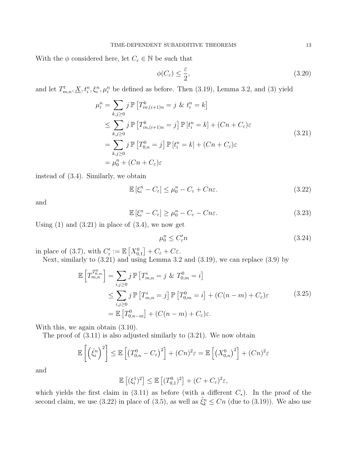With the  $\phi$  considered here, let  $C_{\varepsilon} \in \mathbb{N}$  be such that

$$
\phi(C_{\varepsilon}) \le \frac{\varepsilon}{2},\tag{3.20}
$$

and let  $T_{m,n}^t, \underline{X}, t_i^n, \xi_i^n, \mu_i^n$  be defined as before. Then (3.19), Lemma 3.2, and (3) yield

$$
\mu_i^n = \sum_{k,j\geq 0} j \mathbb{P} \left[ T_{in,(i+1)n}^k = j \& t_i^n = k \right]
$$
  
\n
$$
\leq \sum_{k,j\geq 0} j \mathbb{P} \left[ T_{in,(i+1)n}^k = j \right] \mathbb{P} \left[ t_i^n = k \right] + (Cn + C_{\varepsilon}) \varepsilon
$$
  
\n
$$
= \sum_{k,j\geq 0} j \mathbb{P} \left[ T_{0,n}^0 = j \right] \mathbb{P} \left[ t_i^n = k \right] + (Cn + C_{\varepsilon}) \varepsilon
$$
  
\n
$$
= \mu_0^n + (Cn + C_{\varepsilon}) \varepsilon
$$
\n(3.21)

instead of (3.4). Similarly, we obtain

$$
\mathbb{E}\left[\xi_i^n - C_{\varepsilon}\right] \le \mu_0^n - C_{\varepsilon} + Cn\varepsilon. \tag{3.22}
$$

and

$$
\mathbb{E}\left[\xi_i^n - C_{\varepsilon}\right] \ge \mu_0^n - C_{\varepsilon} - Cn\varepsilon. \tag{3.23}
$$

Using  $(1)$  and  $(3.21)$  in place of  $(3.4)$ , we now get

$$
\mu_0^n \le C_\varepsilon' n \tag{3.24}
$$

in place of (3.7), with  $C'_{\varepsilon} := \mathbb{E}\left[X_{0,1}^0\right] + C_{\varepsilon} + C\varepsilon$ .

Next, similarly to  $(3.21)$  and using Lemma 3.2 and  $(3.19)$ , we can replace  $(3.9)$  by

$$
\mathbb{E}\left[T_{m,n}^{T_{0,m}^0}\right] = \sum_{i,j\geq 0} j \mathbb{P}\left[T_{m,n}^i = j \& T_{0,m}^0 = i\right]
$$
  
\n
$$
\leq \sum_{i,j\geq 0} j \mathbb{P}\left[T_{m,n}^i = j\right] \mathbb{P}\left[T_{0,m}^0 = i\right] + (C(n-m) + C_{\varepsilon})\varepsilon
$$
  
\n
$$
= \mathbb{E}\left[T_{0,n-m}^0\right] + (C(n-m) + C_{\varepsilon})\varepsilon.
$$
\n(3.25)

With this, we again obtain  $(3.10)$ .

The proof of (3.11) is also adjusted similarly to (3.21). We now obtain

$$
\mathbb{E}\left[\left(\tilde{\xi}_i^n\right)^2\right] \leq \mathbb{E}\left[\left(T_{0,n}^0 - C_{\varepsilon}\right)^2\right] + (Cn)^2 \varepsilon = \mathbb{E}\left[\left(X_{0,n}^0\right)^2\right] + (Cn)^2 \varepsilon
$$

and

$$
\mathbb{E}\left[ (\xi_i^1)^2 \right] \leq \mathbb{E}\left[ (T_{0,1}^0)^2 \right] + (C + C_{\varepsilon})^2 \varepsilon,
$$

which yields the first claim in (3.11) as before (with a different  $C_*$ ). In the proof of the second claim, we use (3.22) in place of (3.5), as well as  $\tilde{\xi}_k^n \leq Cn$  (due to (3.19)). We also use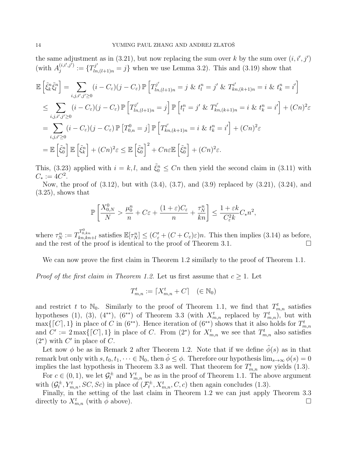the same adjustment as in (3.21), but now replacing the sum over k by the sum over  $(i, i', j')$ (with  $A_i^{(i,i',j')}$  $j_j^{(i,i',j')} := \{T_{ln,(l+1)n}^{j'} = j\}$  when we use Lemma 3.2). This and (3.19) show that

$$
\mathbb{E}\left[\tilde{\xi}_k^n\tilde{\xi}_l^n\right] = \sum_{i,j,i',j'\geq 0} (i - C_{\varepsilon})(j - C_{\varepsilon}) \mathbb{P}\left[T_{ln,(l+1)n}^{j'} = j \& t_l^n = j' \& T_{kn,(k+1)n}^{i'} = i \& t_k^n = i'\right]
$$
  
\n
$$
\leq \sum_{i,j,i',j'\geq 0} (i - C_{\varepsilon})(j - C_{\varepsilon}) \mathbb{P}\left[T_{ln,(l+1)n}^{j'} = j\right] \mathbb{P}\left[t_l^n = j' \& T_{kn,(k+1)n}^{i'} = i \& t_k^n = i'\right] + (Cn)^2 \varepsilon
$$
  
\n
$$
= \sum_{i,j,i'\geq 0} (i - C_{\varepsilon})(j - C_{\varepsilon}) \mathbb{P}\left[T_{0,n}^0 = j\right] \mathbb{P}\left[T_{kn,(k+1)n}^{i'} = i \& t_k^n = i'\right] + (Cn)^2 \varepsilon
$$
  
\n
$$
= \mathbb{E}\left[\tilde{\xi}_0^n\right] \mathbb{E}\left[\tilde{\xi}_k^n\right] + (Cn)^2 \varepsilon \leq \mathbb{E}\left[\tilde{\xi}_0^n\right]^2 + Cn\varepsilon \mathbb{E}\left[\tilde{\xi}_0^n\right] + (Cn)^2 \varepsilon.
$$

This, (3.23) applied with  $i = k, l$ , and  $\tilde{\xi}_0^n \leq Cn$  then yield the second claim in (3.11) with  $C_* := 4C^2.$ 

Now, the proof of (3.12), but with (3.4), (3.7), and (3.9) replaced by (3.21), (3.24), and  $(3.25)$ , shows that

$$
\mathbb{P}\left[\frac{X_{0,N}^0}{N} > \frac{\mu_0^n}{n} + C\varepsilon + \frac{(1+\varepsilon)C_\varepsilon}{n} + \frac{\tau_N^n}{kn}\right] \leq \frac{1+\varepsilon k}{C_\varepsilon^2 k} C_* n^2,
$$

where  $\tau_N^n := T^{T_{0,kn}}_{kn,kn+l}$  satisfies  $\mathbb{E}[\tau_N^n] \leq (C'_{\varepsilon} + (C + C_{\varepsilon})\varepsilon)n$ . This then implies (3.14) as before, and the rest of the proof is identical to the proof of Theorem 3.1.  $\Box$ 

We can now prove the first claim in Theorem 1.2 similarly to the proof of Theorem 1.1.

*Proof of the first claim in Theorem 1.2.* Let us first assume that  $c \geq 1$ . Let

$$
T_{m,n}^t:=\lceil X_{m,n}^t+C\rceil\quad(\in\mathbb{N}_0)
$$

and restrict t to  $\mathbb{N}_0$ . Similarly to the proof of Theorem 1.1, we find that  $T_{m,n}^t$  satisfies hypotheses (1), (3), (4<sup>\*\*</sup>), (6<sup>\*\*</sup>) of Theorem 3.3 (with  $X_{m,n}^t$  replaced by  $T_{m,n}^t$ ), but with  $\max\{[C], 1\}$  in place of C in  $(6^{**})$ . Hence iteration of  $(6^{**})$  shows that it also holds for  $T^t_{m,n}$ and  $C' := 2 \max\{[C], 1\}$  in place of C. From  $(2^*)$  for  $X_{m,n}^t$  we see that  $T_{m,n}^t$  also satisfies  $(2^*)$  with  $C'$  in place of  $C$ .

Let now  $\phi$  be as in Remark 2 after Theorem 1.2. Note that if we define  $\phi(s)$  as in that remark but only with  $s, t_0, t_1, \dots \in \mathbb{N}_0$ , then  $\tilde{\phi} \leq \phi$ . Therefore our hypothesis  $\lim_{s\to\infty} \phi(s) = 0$ implies the last hypothesis in Theorem 3.3 as well. That theorem for  $T_{m,n}^t$  now yields (1.3).

For  $c \in (0,1)$ , we let  $\mathcal{G}_t^{\pm}$  and  $Y_{m,n}^t$  be as in the proof of Theorem 1.1. The above argument with  $(\mathcal{G}_t^{\pm}, Y^t_{m,n}, SC, Sc)$  in place of  $(\mathcal{F}_t^{\pm}, X^t_{m,n}, C, c)$  then again concludes (1.3).

Finally, in the setting of the last claim in Theorem 1.2 we can just apply Theorem 3.3 directly to  $X_{m,n}^t$  (with  $\tilde{\phi}$  above).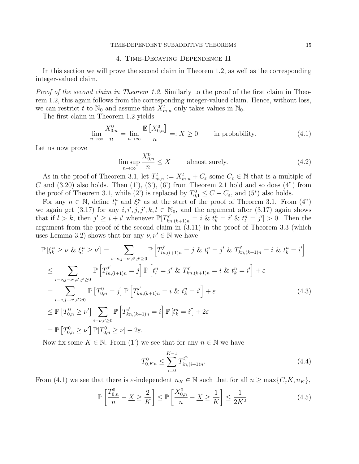#### TIME-DEPENDENT SUBADDITIVE THEOREMS 15

### 4. Time-Decaying Dependence II

In this section we will prove the second claim in Theorem 1.2, as well as the corresponding integer-valued claim.

Proof of the second claim in Theorem 1.2. Similarly to the proof of the first claim in Theorem 1.2, this again follows from the corresponding integer-valued claim. Hence, without loss, we can restrict t to  $\mathbb{N}_0$  and assume that  $\bar{X}_{m,n}^t$  only takes values in  $\mathbb{N}_0$ .

The first claim in Theorem 1.2 yields

$$
\lim_{n \to \infty} \frac{X_{0,n}^0}{n} = \lim_{n \to \infty} \frac{\mathbb{E}\left[X_{0,n}^0\right]}{n} =: \underline{X} \ge 0 \qquad \text{in probability.} \tag{4.1}
$$

Let us now prove

$$
\limsup_{n \to \infty} \frac{X_{0,n}^0}{n} \le \underline{X} \qquad \text{almost surely.} \tag{4.2}
$$

As in the proof of Theorem 3.1, let  $T_{m,n}^t := X_{m,n}^t + C_{\varepsilon}$  some  $C_{\varepsilon} \in \mathbb{N}$  that is a multiple of C and  $(3.20)$  also holds. Then  $(1')$ ,  $(3')$ ,  $(6')$  from Theorem 2.1 hold and so does  $(4'')$  from the proof of Theorem 3.1, while (2') is replaced by  $T_{0,1}^0 \leq C + C_{\varepsilon}$ , and (5<sup>\*</sup>) also holds.

For any  $n \in \mathbb{N}$ , define  $t_i^n$  and  $\xi_i^n$  as at the start of the proof of Theorem 3.1. From  $(4^n)$ we again get (3.17) for any  $i, i', j, j', k, l \in \mathbb{N}_0$ , and the argument after (3.17) again shows that if  $l > k$ , then  $j' \geq i + i'$  whenever  $\mathbb{P}[T_{kn,(k+1)n}^{i'} = i \& t_k^n = i' \& t_l^n = j'] > 0$ . Then the argument from the proof of the second claim in (3.11) in the proof of Theorem 3.3 (which uses Lemma 3.2) shows that for any  $\nu, \nu' \in \mathbb{N}$  we have

$$
\mathbb{P} \left[ \xi_{k}^{n} \geq \nu \& \xi_{l}^{n} \geq \nu' \right] = \sum_{i-\nu,j-\nu',i',j' \geq 0} \mathbb{P} \left[ T_{ln,(l+1)n}^{j'} = j \& t_{l}^{n} = j' \& T_{kn,(k+1)n}^{i'} = i \& t_{k}^{n} = i' \right]
$$
\n
$$
\leq \sum_{i-\nu,j-\nu',i',j' \geq 0} \mathbb{P} \left[ T_{ln,(l+1)n}^{j'} = j \right] \mathbb{P} \left[ t_{l}^{n} = j' \& T_{kn,(k+1)n}^{i'} = i \& t_{k}^{n} = i' \right] + \varepsilon
$$
\n
$$
= \sum_{i-\nu,j-\nu',i' \geq 0} \mathbb{P} \left[ T_{0,n}^{0} = j \right] \mathbb{P} \left[ T_{kn,(k+1)n}^{i'} = i \& t_{k}^{n} = i' \right] + \varepsilon
$$
\n
$$
\leq \mathbb{P} \left[ T_{0,n}^{0} \geq \nu' \right] \sum_{i-\nu,i' \geq 0} \mathbb{P} \left[ T_{kn,(k+1)n}^{i'} = i \right] \mathbb{P} \left[ t_{k}^{n} = i' \right] + 2\varepsilon
$$
\n
$$
= \mathbb{P} \left[ T_{0,n}^{0} \geq \nu' \right] \mathbb{P} \left[ T_{0,n}^{0} \geq \nu \right] + 2\varepsilon.
$$
\n(4.3)

Now fix some  $K \in \mathbb{N}$ . From (1') we see that for any  $n \in \mathbb{N}$  we have

$$
T_{0,Kn}^0 \le \sum_{i=0}^{K-1} T_{in,(i+1)n}^{t_i^n}.
$$
\n(4.4)

From (4.1) we see that there is  $\varepsilon$ -independent  $n_K \in \mathbb{N}$  such that for all  $n \ge \max\{C_{\varepsilon}K, n_K\},$ 

$$
\mathbb{P}\left[\frac{T_{0,n}^0}{n} - \underline{X} \ge \frac{2}{K}\right] \le \mathbb{P}\left[\frac{X_{0,n}^0}{n} - \underline{X} \ge \frac{1}{K}\right] \le \frac{1}{2K^2}.\tag{4.5}
$$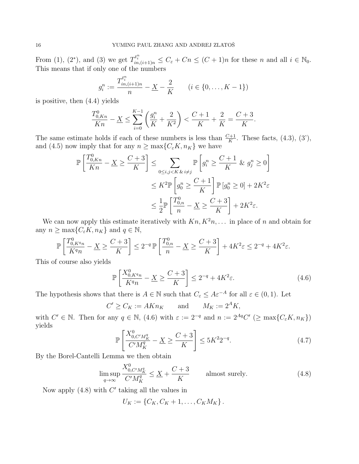From (1),  $(2^*)$ , and (3) we get  $T_{in,(i+1)n}^{t_i^n} \leq C_{\varepsilon} + Cn \leq (C+1)n$  for these n and all  $i \in \mathbb{N}_0$ . This means that if only one of the numbers

$$
g_i^n := \frac{T_{in,(i+1)n}^{t_i^n}}{n} - \underline{X} - \frac{2}{K} \qquad (i \in \{0, \dots, K - 1\})
$$

is positive, then (4.4) yields

$$
\frac{T_{0,Kn}^0}{Kn} - \underline{X} \le \sum_{i=0}^{K-1} \left( \frac{g_i^n}{K} + \frac{2}{K^2} \right) < \frac{C+1}{K} + \frac{2}{K} = \frac{C+3}{K}.
$$

The same estimate holds if each of these numbers is less than  $\frac{C+1}{K}$ . These facts, (4.3), (3'), and (4.5) now imply that for any  $n \ge \max\{C_{\varepsilon}K, n_K\}$  we have

$$
\mathbb{P}\left[\frac{T_{0,Kn}^{0}}{Kn} - \underline{X} \ge \frac{C+3}{K}\right] \le \sum_{0 \le i,j < K \& i \ne j} \mathbb{P}\left[g_{i}^{n} \ge \frac{C+1}{K} \& g_{j}^{n} \ge 0\right]
$$
\n
$$
\le K^{2} \mathbb{P}\left[g_{0}^{n} \ge \frac{C+1}{K}\right] \mathbb{P}\left[g_{0}^{n} \ge 0\right] + 2K^{2}\varepsilon
$$
\n
$$
\le \frac{1}{2} \mathbb{P}\left[\frac{T_{0,n}^{0}}{n} - \underline{X} \ge \frac{C+3}{K}\right] + 2K^{2}\varepsilon.
$$

We can now apply this estimate iteratively with  $Kn, K^2n, \ldots$  in place of n and obtain for any  $n \ge \max\{C_{\varepsilon}K, n_K\}$  and  $q \in \mathbb{N}$ ,

$$
\mathbb{P}\left[\frac{T_{0,K^q n}^0}{K^q n} - \underline{X} \ge \frac{C+3}{K}\right] \le 2^{-q} \mathbb{P}\left[\frac{T_{0,n}^0}{n} - \underline{X} \ge \frac{C+3}{K}\right] + 4K^2 \varepsilon \le 2^{-q} + 4K^2 \varepsilon.
$$

This of course also yields

$$
\mathbb{P}\left[\frac{X_{0,K^q n}^0}{K^q n} - \underline{X} \ge \frac{C+3}{K}\right] \le 2^{-q} + 4K^2 \varepsilon. \tag{4.6}
$$

The hypothesis shows that there is  $A \in \mathbb{N}$  such that  $C_{\varepsilon} \leq A \varepsilon^{-A}$  for all  $\varepsilon \in (0,1)$ . Let

$$
C' \geq C_K := AKn_K \qquad \text{and} \qquad M_K := 2^AK,
$$

with  $C' \in \mathbb{N}$ . Then for any  $q \in \mathbb{N}$ , (4.6) with  $\varepsilon := 2^{-q}$  and  $n := 2^{Aq}C' \ge \max\{C_{\varepsilon}K, n_K\}$ yields

$$
\mathbb{P}\left[\frac{X_{0,C'M_K^q}^0}{C'M_K^q} - \underline{X} \ge \frac{C+3}{K}\right] \le 5K^2 2^{-q}.\tag{4.7}
$$

By the Borel-Cantelli Lemma we then obtain

$$
\limsup_{q \to \infty} \frac{X_{0,C'M_K^q}^0}{C'M_K^q} \le \underline{X} + \frac{C+3}{K} \qquad \text{almost surely.} \tag{4.8}
$$

Now apply  $(4.8)$  with  $C'$  taking all the values in

$$
U_K:=\{C_K,C_K+1,\ldots,C_KM_K\}.
$$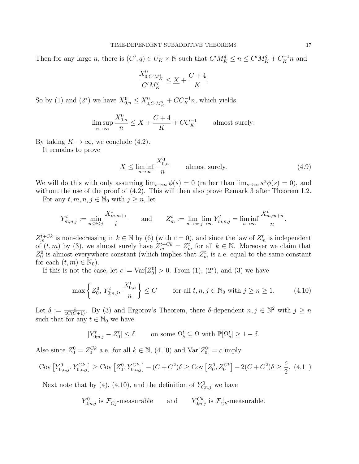Then for any large n, there is  $(C', q) \in U_K \times \mathbb{N}$  such that  $C'M_K^q \le n \le C'M_K^q + C_K^{-1}n$  and

$$
\frac{X^{0}_{0,C'M_{K}^{q}}}{C'M_{K}^{q}} \leq \underline{X} + \frac{C+4}{K}.
$$

So by (1) and (2<sup>\*</sup>) we have  $X_{0,n}^0 \le X_{0,C'M_K^q}^0 + CC_K^{-1}n$ , which yields

$$
\limsup_{n \to \infty} \frac{X_{0,n}^0}{n} \le \underline{X} + \frac{C+4}{K} + CC_K^{-1}
$$
 almost surely.

By taking  $K \to \infty$ , we conclude (4.2).

It remains to prove

$$
\underline{X} \le \liminf_{n \to \infty} \frac{X_{0,n}^0}{n} \qquad \text{almost surely.} \tag{4.9}
$$

We will do this with only assuming  $\lim_{s\to\infty} \phi(s) = 0$  (rather than  $\lim_{s\to\infty} s^{\alpha} \phi(s) = 0$ ), and without the use of the proof of  $(4.2)$ . This will then also prove Remark 3 after Theorem 1.2.

For any  $t, m, n, j \in \mathbb{N}_0$  with  $j \geq n$ , let

$$
Y_{m;n,j}^t := \min_{n \le i \le j} \frac{X_{m,m+i}^t}{i}
$$
 and 
$$
Z_m^t := \lim_{n \to \infty} \lim_{j \to \infty} Y_{m;n,j}^t = \liminf_{n \to \infty} \frac{X_{m,m+n}^t}{n}.
$$

 $Z_m^{t+Ck}$  is non-decreasing in  $k \in \mathbb{N}$  by (6) (with  $c = 0$ ), and since the law of  $Z_m^t$  is independent of  $(t, m)$  by (3), we almost surely have  $Z_m^{t+C_k} = Z_m^t$  for all  $k \in \mathbb{N}$ . Moreover we claim that  $Z_0^0$  is almost everywhere constant (which implies that  $Z_m^t$  is a.e. equal to the same constant for each  $(t, m) \in \mathbb{N}_0$ .

If this is not the case, let  $c := \text{Var}[Z_0^0] > 0$ . From (1), (2<sup>\*</sup>), and (3) we have

$$
\max\left\{Z_0^0, Y_{0;n,j}^t, \frac{X_{0,n}^t}{n}\right\} \le C \qquad \text{for all } t, n, j \in \mathbb{N}_0 \text{ with } j \ge n \ge 1. \tag{4.10}
$$

Let  $\delta := \frac{c}{4C(C+1)}$ . By (3) and Ergorov's Theorem, there  $\delta$ -dependent  $n, j \in \mathbb{N}^2$  with  $j \geq n$ such that for any  $t \in \mathbb{N}_0$  we have

$$
|Y_{0;n,j}^t - Z_0^t| \le \delta \qquad \text{on some } \Omega_{\delta}^t \subseteq \Omega \text{ with } \mathbb{P}[\Omega_{\delta}^t] \ge 1 - \delta.
$$

Also since  $Z_0^0 = Z_0^{Ck}$  a.e. for all  $k \in \mathbb{N}$ , (4.10) and  $Var[Z_0^0] = c$  imply

$$
Cov\left[Y_{0,n,j}^0, Y_{0,n,j}^{Ck}\right] \geq Cov\left[Z_0^0, Y_{0,n,j}^{Ck}\right] - (C + C^2)\delta \geq Cov\left[Z_0^0, Z_0^{Ck}\right] - 2(C + C^2)\delta \geq \frac{c}{2}.
$$
 (4.11)

Next note that by (4), (4.10), and the definition of  $Y_{0;n,j}^0$  we have

$$
Y_{0,n,j}^0
$$
 is  $\mathcal{F}_{Cj}^-$ -measurable and  $Y_{0,n,j}^{Ck}$  is  $\mathcal{F}_{Ck}^+$ -measurable.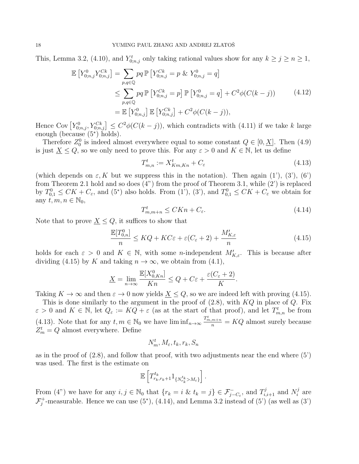This, Lemma 3.2, (4.10), and  $Y_{0,n,j}^t$  only taking rational values show for any  $k \ge j \ge n \ge 1$ ,

$$
\mathbb{E}\left[Y_{0;n,j}^{0}Y_{0;n,j}^{Ck}\right] = \sum_{p,q\in\mathbb{Q}}pq\,\mathbb{P}\left[Y_{0;n,j}^{Ck} = p \& Y_{0;n,j}^{0} = q\right]
$$
\n
$$
\leq \sum_{p,q\in\mathbb{Q}}pq\,\mathbb{P}\left[Y_{0;n,j}^{Ck} = p\right]\mathbb{P}\left[Y_{0;n,j}^{0} = q\right] + C^{2}\phi(C(k-j)) \tag{4.12}
$$
\n
$$
= \mathbb{E}\left[Y_{0;n,j}^{0}\right]\mathbb{E}\left[Y_{0;n,j}^{Ck}\right] + C^{2}\phi(C(k-j)),
$$

Hence Cov  $[Y_{0,n,j}^0, Y_{0,n,j}^{Ck}] \leq C^2 \phi(C(k-j))$ , which contradicts with (4.11) if we take k large enough (because (5<sup>∗</sup> ) holds).

Therefore  $Z_0^0$  is indeed almost everywhere equal to some constant  $Q \in [0, \underline{X}]$ . Then (4.9) is just  $\underline{X} \leq Q$ , so we only need to prove this. For any  $\varepsilon > 0$  and  $K \in \mathbb{N}$ , let us define

$$
T_{m,n}^t := X_{Km,Kn}^t + C_{\varepsilon} \tag{4.13}
$$

(which depends on  $\varepsilon$ , K but we suppress this in the notation). Then again (1'), (3'), (6') from Theorem 2.1 hold and so does (4") from the proof of Theorem 3.1, while (2') is replaced by  $T_{0,1}^0 \leq CK + C_{\varepsilon}$ , and  $(5^*)$  also holds. From  $(1'), (3'),$  and  $T_{0,1}^0 \leq CK + C_{\varepsilon}$  we obtain for any  $t, m, n \in \mathbb{N}_0$ ,

$$
T_{m,m+n}^t \le CKn + C_{\varepsilon}.\tag{4.14}
$$

Note that to prove  $\underline{X} \leq Q$ , it suffices to show that

$$
\frac{\mathbb{E}[T_{0,n}^0]}{n} \le KQ + KC\varepsilon + \varepsilon(C_\varepsilon + 2) + \frac{M'_{K,\varepsilon}}{n}
$$
\n(4.15)

holds for each  $\varepsilon > 0$  and  $K \in \mathbb{N}$ , with some *n*-independent  $M'_{K,\varepsilon}$ . This is because after dividing (4.15) by K and taking  $n \to \infty$ , we obtain from (4.1),

$$
\underline{X} = \lim_{n \to \infty} \frac{\mathbb{E}[X_{0,Kn}^0]}{Kn} \le Q + C\varepsilon + \frac{\varepsilon(C_\varepsilon + 2)}{K}.
$$

Taking  $K \to \infty$  and then  $\varepsilon \to 0$  now yields  $X \leq Q$ , so we are indeed left with proving (4.15).

This is done similarly to the argument in the proof of  $(2.8)$ , with  $KQ$  in place of  $Q$ . Fix  $\varepsilon > 0$  and  $K \in \mathbb{N}$ , let  $Q_{\varepsilon} := KQ + \varepsilon$  (as at the start of that proof), and let  $T_{m,n}^t$  be from (4.13). Note that for any  $t, m \in \mathbb{N}_0$  we have  $\liminf_{n\to\infty} \frac{T_{m,m+n}^t}{n} = KQ$  almost surely because  $Z_m^t = Q$  almost everywhere. Define

$$
N_m^t, M_\varepsilon, t_k, r_k, S_n
$$

as in the proof of  $(2.8)$ , and follow that proof, with two adjustments near the end where  $(5)$ was used. The first is the estimate on

$$
\mathbb{E}\left[T_{r_k,r_k+1}^{t_k}\mathbb{1}_{\{N_{r_k}^{t_k} > M_{\varepsilon}\}}\right].
$$

From (4") we have for any  $i, j \in \mathbb{N}_0$  that  $\{r_k = i \& t_k = j\} \in \mathcal{F}^-_{j-C_{\varepsilon}}$ , and  $T^j_{i,i+1}$  and  $N^j_i$  $i^j$  are  ${\mathcal F}^+_i$ <sup>+</sup>-measurable. Hence we can use  $(5^*)$ ,  $(4.14)$ , and Lemma 3.2 instead of  $(5^*)$  (as well as  $(3^*)$ )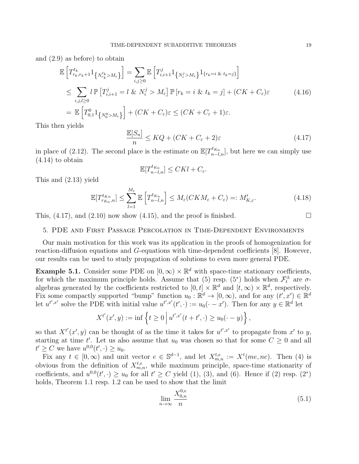and (2.9) as before) to obtain

$$
\mathbb{E}\left[T_{r_k,r_k+1}^{t_k}\mathbb{1}_{\left\{N_{r_k}^{t_k} > M_{\varepsilon}\right\}}\right] = \sum_{i,j\geq 0} \mathbb{E}\left[T_{i,i+1}^j\mathbb{1}_{\left\{N_i^j > M_{\varepsilon}\right\}}\mathbb{1}_{\left\{r_k=i\ \&\ t_k=j\right\}}\right]
$$
\n
$$
\leq \sum_{i,j,l\geq 0} l \mathbb{P}\left[T_{i,i+1}^j = l \ \&\ N_i^j > M_{\varepsilon}\right] \mathbb{P}\left[r_k = i \ \&\ t_k = j\right] + (CK + C_{\varepsilon})\varepsilon
$$
\n
$$
= \mathbb{E}\left[T_{0,1}^0\mathbb{1}_{\left\{N_0^0 > M_{\varepsilon}\right\}}\right] + (CK + C_{\varepsilon})\varepsilon \leq (CK + C_{\varepsilon} + 1)\varepsilon.
$$
\n(4.16)

This then yields

$$
\frac{\mathbb{E}[S_n]}{n} \le KQ + (CK + C_{\varepsilon} + 2)\varepsilon \tag{4.17}
$$

in place of (2.12). The second place is the estimate on  $\mathbb{E}[T_{n-l,n}^{t_{Kn}}]$ , but here we can simply use (4.14) to obtain

$$
\mathbb{E}[T_{n-l,n}^{t_{K_n}}] \leq CKl + C_{\varepsilon}.
$$

This and (2.13) yield

$$
\mathbb{E}[T_{r_{K_n},n}^{t_{K_n}}] \le \sum_{l=1}^{M_{\varepsilon}} \mathbb{E}\left[T_{n-l,n}^{t_{K_n}}\right] \le M_{\varepsilon}(CKM_{\varepsilon} + C_{\varepsilon}) =: M'_{K,\varepsilon}.
$$
\n(4.18)

This,  $(4.17)$ , and  $(2.10)$  now show  $(4.15)$ , and the proof is finished.

## 5. PDE and First Passage Percolation in Time-Dependent Environments

Our main motivation for this work was its application in the proofs of homogenization for reaction-diffusion equations and G-equations with time-dependent coefficients [8]. However, our results can be used to study propagation of solutions to even more general PDE.

**Example 5.1.** Consider some PDE on  $[0, \infty) \times \mathbb{R}^d$  with space-time stationary coefficients, for which the maximum principle holds. Assume that (5) resp.  $(5^*)$  holds when  $\mathcal{F}_t^{\pm}$  are  $\sigma$ algebras generated by the coefficients restricted to  $[0, t] \times \mathbb{R}^d$  and  $[t, \infty) \times \mathbb{R}^d$ , respectively. Fix some compactly supported "bump" function  $u_0 : \mathbb{R}^d \to [0, \infty)$ , and for any  $(t', x') \in \mathbb{R}^d$ let  $u^{t',x'}$  solve the PDE with initial value  $u^{t',x'}(t',\cdot) := u_0(\cdot - x')$ . Then for any  $y \in \mathbb{R}^d$  let

$$
X^{t'}(x', y) := \inf \left\{ t \ge 0 \, \middle| \, u^{t', x'}(t + t', \cdot) \ge u_0(\cdot - y) \right\},
$$

so that  $X^{t'}(x', y)$  can be thought of as the time it takes for  $u^{t', x'}$  to propagate from x' to y, starting at time t'. Let us also assume that  $u_0$  was chosen so that for some  $C \geq 0$  and all  $t' \geq C$  we have  $u^{0,0}(t', \cdot) \geq u_0$ .

Fix any  $t \in [0,\infty)$  and unit vector  $e \in \mathbb{S}^{d-1}$ , and let  $X_{m,n}^{t,e} := X^t(me,ne)$ . Then (4) is obvious from the definition of  $X_{m,n}^{t,e}$ , while maximum principle, space-time stationarity of coefficients, and  $u^{0,0}(t',\cdot) \ge u_0$  for all  $t' \ge C$  yield (1), (3), and (6). Hence if (2) resp. (2<sup>\*</sup>) holds, Theorem 1.1 resp. 1.2 can be used to show that the limit

$$
\lim_{n \to \infty} \frac{X_{0,n}^{0,e}}{n} \tag{5.1}
$$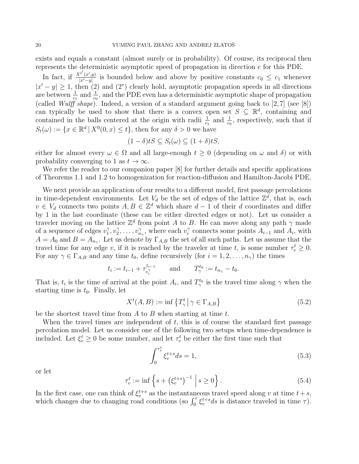exists and equals a constant (almost surely or in probability). Of course, its reciprocal then represents the deterministic asymptotic speed of propagation in direction e for this PDE.

In fact, if  $\frac{X^{t'}(x',y)}{|x'-y|}$  $\frac{f(x',y)}{|x'-y|}$  is bounded below and above by positive constants  $c_0 \leq c_1$  whenever  $|x'-y| \geq 1$ , then (2) and (2<sup>\*</sup>) clearly hold, asymptotic propagation speeds in all directions are between  $\frac{1}{c_1}$  and  $\frac{1}{c_0}$ , and the PDE even has a deterministic asymptotic shape of propagation (called *Wulff* shape). Indeed, a version of a standard argument going back to [2,7] (see [8]) can typically be used to show that there is a convex open set  $S \subseteq \mathbb{R}^d$ , containing and contained in the balls centered at the origin with radii  $\frac{1}{c_1}$  and  $\frac{1}{c_0}$ , respectively, such that if  $S_t(\omega) := \{x \in \mathbb{R}^d \mid X^0(0, x) \leq t\},\$  then for any  $\delta > 0$  we have

$$
(1 - \delta)tS \subseteq S_t(\omega) \subseteq (1 + \delta)tS,
$$

either for almost every  $\omega \in \Omega$  and all large-enough  $t \geq 0$  (depending on  $\omega$  and  $\delta$ ) or with probability converging to 1 as  $t \to \infty$ .

We refer the reader to our companion paper [8] for further details and specific applications of Theorems 1.1 and 1.2 to homogenization for reaction-diffusion and Hamilton-Jacobi PDE.

We next provide an application of our results to a different model, first passage percolations in time-dependent environments. Let  $V_d$  be the set of edges of the lattice  $\mathbb{Z}^d$ , that is, each  $v \in V_d$  connects two points  $A, B \in \mathbb{Z}^d$  which share  $d-1$  of their d coordinates and differ by 1 in the last coordinate (these can be either directed edges or not). Let us consider a traveler moving on the lattice  $\mathbb{Z}^d$  from point A to B. He can move along any path  $\gamma$  made of a sequence of edges  $v_1^{\gamma}$  $\begin{smallmatrix} \gamma & \gamma \\ 1 & \gamma \end{smallmatrix}$  $v_1^{\gamma}, \ldots, v_{n_{\gamma}}^{\gamma},$  where each  $v_i^{\gamma}$  $i$ <sup> $\gamma$ </sup> connects some points  $A_{i-1}$  and  $A_i$ , with  $A = A_0$  and  $B = A_{n_\gamma}$ . Let us denote by  $\Gamma_{A,B}$  the set of all such paths. Let us assume that the travel time for any edge v, if it is reached by the traveler at time t, is some number  $\tau_v^t \geq 0$ . For any  $\gamma \in \Gamma_{A,B}$  and any time  $t_0$ , define recursively (for  $i = 1, 2, \ldots, n_\gamma$ ) the times

$$
t_i := t_{i-1} + \tau_{v_i^{\gamma}}^{t_{i-1}}
$$
 and  $T_{\gamma}^{t_0} := t_{n_{\gamma}} - t_0$ .

That is,  $t_i$  is the time of arrival at the point  $A_i$ , and  $T_\gamma^{t_0}$  is the travel time along  $\gamma$  when the starting time is  $t_0$ . Finally, let

$$
X^{t}(A,B) := \inf \left\{ T_{\gamma}^{t} \, \middle| \, \gamma \in \Gamma_{A,B} \right\} \tag{5.2}
$$

be the shortest travel time from A to B when starting at time  $t$ .

When the travel times are independent of  $t$ , this is of course the standard first passage percolation model. Let us consider one of the following two setups when time-dependence is included. Let  $\xi_v^t \geq 0$  be some number, and let  $\tau_v^t$  be either the first time such that

$$
\int_0^{\tau_v^t} \xi_v^{t+s} ds = 1,\t\t(5.3)
$$

or let

$$
\tau_v^t := \inf \left\{ s + \left( \xi_v^{t+s} \right)^{-1} \, \middle| \, s \ge 0 \right\}. \tag{5.4}
$$

In the first case, one can think of  $\xi_v^{t+s}$  as the instantaneous travel speed along v at time  $t+s$ , which changes due to changing road conditions (so  $\int_0^\tau \xi_v^{t+s} ds$  is distance traveled in time  $\tau$ ).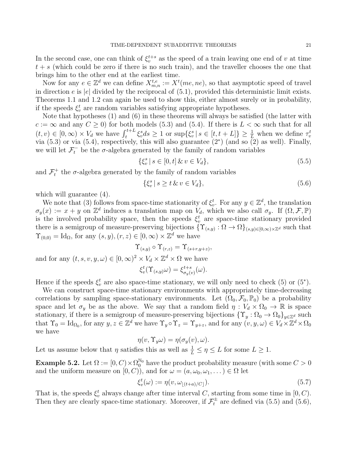In the second case, one can think of  $\xi_v^{t+s}$  as the speed of a train leaving one end of v at time  $t + s$  (which could be zero if there is no such train), and the traveller chooses the one that brings him to the other end at the earliest time.

Now for any  $e \in \mathbb{Z}^d$  we can define  $X_{m,n}^{t,e} := X^t$  (*me, ne*), so that asymptotic speed of travel in direction e is |e| divided by the reciprocal of  $(5.1)$ , provided this deterministic limit exists. Theorems 1.1 and 1.2 can again be used to show this, either almost surely or in probability, if the speeds  $\xi_v^t$  are random variables satisfying appropriate hypotheses.

Note that hypotheses (1) and (6) in these theorems will always be satisfied (the latter with  $c := \infty$  and any  $C \geq 0$  for both models (5.3) and (5.4). If there is  $L < \infty$  such that for all  $(t, v) \in [0, \infty) \times V_d$  we have  $\int_t^{t+L} \xi_v^s ds \geq 1$  or  $\sup\{\xi_v^s | s \in [t, t+L]\} \geq \frac{1}{L}$  when we define  $\tau_v^t$ via (5.3) or via (5.4), respectively, this will also guarantee  $(2^*)$  (and so  $(2)$ ) as well). Finally, we will let  $\mathcal{F}^-_t$  be the  $\sigma$ -algebra generated by the family of random variables

$$
\{\xi_v^s \, | \, s \in [0, t] \, \& \, v \in V_d\},\tag{5.5}
$$

and  $\mathcal{F}^+_t$  the  $\sigma$ -algebra generated by the family of random variables

$$
\{\xi_v^s \mid s \ge t \,\&\, v \in V_d\},\tag{5.6}
$$

which will guarantee (4).

and for any  $(t, s, v, y, \omega) \in [0, \infty)$ 

We note that (3) follows from space-time stationarity of  $\xi_v^t$ . For any  $y \in \mathbb{Z}^d$ , the translation  $\sigma_y(x) := x + y$  on  $\mathbb{Z}^d$  induces a translation map on  $V_d$ , which we also call  $\sigma_y$ . If  $(\Omega, \mathcal{F}, \mathbb{P})$ is the involved probability space, then the speeds  $\xi_v^t$  are space-time stationary provided there is a semigroup of measure-preserving bijections  $\{\Upsilon_{(s,y)} : \Omega \to \Omega\}_{(s,y)\in [0,\infty)\times \mathbb{Z}^d}$  such that  $\Upsilon_{(0,0)} = \text{Id}_{\Omega}$ , for any  $(s, y), (r, z) \in [0, \infty) \times \mathbb{Z}^d$  we have

$$
\Upsilon_{(s,y)} \circ \Upsilon_{(r,z)} = \Upsilon_{(s+r,y+z)},
$$
  

$$
)^2 \times V_d \times \mathbb{Z}^d \times \Omega
$$
 we have

$$
\xi_v^t(\Upsilon_{(s,y)}\omega) = \xi_{\sigma_y(v)}^{t+s}(\omega).
$$

Hence if the speeds  $\xi_v^t$  are also space-time stationary, we will only need to check (5) or (5<sup>\*</sup>).

We can construct space-time stationary environments with appropriately time-decreasing correlations by sampling space-stationary environments. Let  $(\Omega_0, \mathcal{F}_0, \mathbb{P}_0)$  be a probability space and let  $\sigma_y$  be as the above. We say that a random field  $\eta: V_d \times \Omega_0 \to \mathbb{R}$  is space stationary, if there is a semigroup of measure-preserving bijections  $\{\Upsilon_y : \Omega_0 \to \Omega_0\}_{y \in \mathbb{Z}^d}$  such that  $\Upsilon_0 = \text{Id}_{\Omega_0}$ , for any  $y, z \in \mathbb{Z}^d$  we have  $\Upsilon_y \circ \Upsilon_z = \Upsilon_{y+z}$ , and for any  $(v, y, \omega) \in V_d \times \mathbb{Z}^d \times \Omega_0$ we have

$$
\eta(v, \Upsilon_y \omega) = \eta(\sigma_y(v), \omega).
$$

Let us assume below that  $\eta$  satisfies this as well as  $\frac{1}{L} \leq \eta \leq L$  for some  $L \geq 1$ .

**Example 5.2.** Let  $\Omega := [0, C) \times \Omega_0^{\mathbb{N}_0}$  have the product probability measure (with some  $C > 0$ and the uniform measure on  $[0, C)$ , and for  $\omega = (a, \omega_0, \omega_1, \dots) \in \Omega$  let

$$
\xi_v^t(\omega) := \eta(v, \omega_{\lfloor (t+a)/C \rfloor}).\tag{5.7}
$$

That is, the speeds  $\xi_v^t$  always change after time interval C, starting from some time in [0, C). Then they are clearly space-time stationary. Moreover, if  $\mathcal{F}_t^{\pm}$  are defined via (5.5) and (5.6),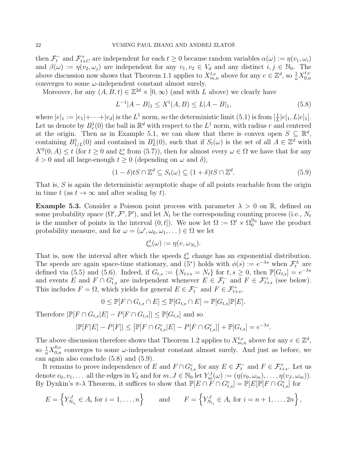then  $\mathcal{F}_t^-$  and  $\mathcal{F}_{t+}^+$ <sup>+</sup><sub>t+C</sub> are independent for each  $t \ge 0$  because random variables  $\alpha(\omega) := \eta(v_1, \omega_i)$ and  $\beta(\omega) := \eta(v_2, \omega_j)$  are independent for any  $v_1, v_2 \in V_d$  and any distinct  $i, j \in \mathbb{N}_0$ . The above discussion now shows that Theorem 1.1 applies to  $X_{m,n}^{t,e}$  above for any  $e \in \mathbb{Z}^d$ , so  $\frac{1}{n} X_{0,n}^{t,e}$  $_{0,n}$ converges to some  $\omega$ -independent constant almost surely.

Moreover, for any  $(A, B, t) \in \mathbb{Z}^{2d} \times [0, \infty)$  (and with L above) we clearly have

$$
L^{-1}|A - B|_1 \le X^t(A, B) \le L|A - B|_1,\tag{5.8}
$$

where  $|e|_1 := |e_1| + \cdots + |e_d|$  is the  $L^1$  norm, so the deterministic limit (5.1) is from  $[\frac{1}{L}|e|_1, L|e|_1]$ . Let us denote by  $B_r^1(0)$  the ball in  $\mathbb{R}^d$  with respect to the  $L^1$  norm, with radius r and centered at the origin. Then as in Example 5.1, we can show that there is convex open  $S \subseteq \mathbb{R}^d$ , containing  $B_{1/L}^1(0)$  and contained in  $B_L^1(0)$ , such that if  $S_t(\omega)$  is the set of all  $A \in \mathbb{Z}^d$  with  $X^0(0, A) \le t$  (for  $t \ge 0$  and  $\xi_v^s$  from  $(5.7)$ ), then for almost every  $\omega \in \Omega$  we have that for any  $\delta > 0$  and all large-enough  $t \geq 0$  (depending on  $\omega$  and  $\delta$ ),

$$
(1 - \delta)tS \cap \mathbb{Z}^d \subseteq S_t(\omega) \subseteq (1 + \delta)tS \cap \mathbb{Z}^d. \tag{5.9}
$$

That is, S is again the deterministic asymptotic shape of all points reachable from the origin in time t (as  $t \to \infty$  and after scaling by t).

**Example 5.3.** Consider a Poisson point process with parameter  $\lambda > 0$  on R, defined on some probability space  $(\Omega', \mathcal{F}', \mathbb{P}')$ , and let  $N_t$  be the corresponding counting process (i.e.,  $N_t$ is the number of points in the interval  $(0, t]$ ). We now let  $\Omega := \Omega' \times \Omega_0^{\mathbb{N}_0}$  have the product probability measure, and for  $\omega = (\omega', \omega_0, \omega_1, \dots) \in \Omega$  we let

$$
\xi_v^t(\omega) := \eta(v, \omega_{N_t}).
$$

That is, now the interval after which the speeds  $\xi_v^t$  change has an exponential distribution. The speeds are again space-time stationary, and  $(5^*)$  holds with  $\phi(s) := e^{-\lambda s}$  when  $\mathcal{F}_t^{\pm}$  are defined via (5.5) and (5.6). Indeed, if  $G_{t,s} := \{N_{t+s} = N_t\}$  for  $t, s \geq 0$ , then  $\mathbb{P}[G_{t,s}] = e^{-\lambda s}$ and events E and  $F \cap G_{t,s}^c$  are independent whenever  $E \in \mathcal{F}_t^-$  and  $F \in \mathcal{F}_{t+s}^+$  (see below). This includes  $F = \Omega$ , which yields for general  $E \in \mathcal{F}_t^-$  and  $F \in \mathcal{F}_{t+s}^+$ ,

$$
0 \leq \mathbb{P}[F \cap G_{t,s} \cap E] \leq \mathbb{P}[G_{t,s} \cap E] = \mathbb{P}[G_{t,s}]\mathbb{P}[E].
$$

Therefore  $|\mathbb{P}[F \cap G_{t,s}|E] - P[F \cap G_{t,s}]| \leq \mathbb{P}[G_{t,s}]$  and so

$$
|\mathbb{P}[F|E] - P[F]| \leq |\mathbb{P}[F \cap G_{t,s}^c|E] - P[F \cap G_{t,s}^c]| + \mathbb{P}[G_{t,s}] = e^{-\lambda s}.
$$

The above discussion therefore shows that Theorem 1.2 applies to  $X_{m,n}^{t,e}$  above for any  $e \in \mathbb{Z}^d$ , so  $\frac{1}{n}X_{0,n}^{0,e}$  converges to some  $\omega$ -independent constant almost surely. And just as before, we can again also conclude (5.8) and (5.9).

It remains to prove independence of E and  $F \cap G_{t,s}^c$  for any  $E \in \mathcal{F}_t^-$  and  $F \in \mathcal{F}_{t+s}^+$ . Let us denote  $v_0, v_1, \ldots$  all the edges in  $V_d$  and for  $m, J \in \mathbb{N}_0$  let  $Y_m^J(\omega) := (\eta(v_0, \omega_m), \ldots, \eta(v_J, \omega_m)).$ By Dynkin's  $\pi$ - $\lambda$  Theorem, it suffices to show that  $\mathbb{P}[E \cap F \cap G_{t,s}^c] = \mathbb{P}[E] \mathbb{P}[F \cap G_{t,s}^c]$  for

$$
E = \left\{ Y_{N_{t_i}}^J \in A_i \text{ for } i = 1, \dots, n \right\} \quad \text{and} \quad F = \left\{ Y_{N_{t_i}}^J \in A_i \text{ for } i = n+1, \dots, 2n \right\},
$$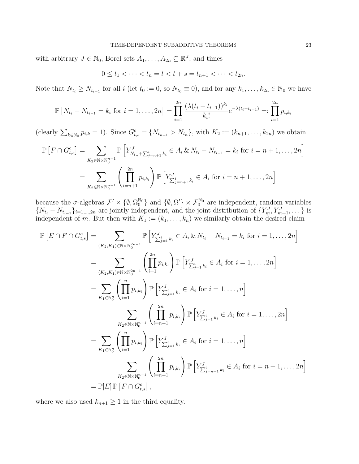with arbitrary  $J \in \mathbb{N}_0$ , Borel sets  $A_1, \ldots, A_{2n} \subseteq \mathbb{R}^J$ , and times

$$
0 \le t_1 < \dots < t_n = t < t + s = t_{n+1} < \dots < t_{2n}.
$$

Note that  $N_{t_i} \geq N_{t_{i-1}}$  for all i (let  $t_0 := 0$ , so  $N_{t_0} \equiv 0$ ), and for any  $k_1, \ldots, k_{2n} \in \mathbb{N}_0$  we have

$$
\mathbb{P}\left[N_{t_i}-N_{t_{i-1}}=k_i \text{ for } i=1,\ldots,2n\right]=\prod_{i=1}^{2n}\frac{(\lambda(t_i-t_{i-1}))^{k_i}}{k_i!}e^{-\lambda(t_i-t_{i-1})}=: \prod_{i=1}^{2n}p_{i,k_i}
$$

(clearly  $\sum_{k \in \mathbb{N}_0} p_{i,k} = 1$ ). Since  $G_{t,s}^c = \{N_{t_{n+1}} > N_{t_n}\}$ , with  $K_2 := (k_{n+1}, \ldots, k_{2n})$  we obtain

$$
\mathbb{P}\left[F \cap G_{t,s}^c\right] = \sum_{K_2 \in \mathbb{N} \times \mathbb{N}_0^{n-1}} \mathbb{P}\left[Y_{N_{t_n} + \sum_{j=n+1}^i k_i}^J \in A_i \& N_{t_i} - N_{t_{i-1}} = k_i \text{ for } i = n+1, \dots, 2n\right]
$$

$$
= \sum_{K_2 \in \mathbb{N} \times \mathbb{N}_0^{n-1}} \left(\prod_{i=n+1}^{2n} p_{i,k_i}\right) \mathbb{P}\left[Y_{\sum_{j=n+1}^i k_i}^J \in A_i \text{ for } i = n+1, \dots, 2n\right]
$$

because the  $\sigma$ -algebras  $\mathcal{F}' \times \{\emptyset, \Omega_0^{\mathbb{N}_0}\}\$  and  $\{\emptyset, \Omega'\}\times \mathcal{F}_0^{\mathbb{N}_0}\$  are independent, random variables  $\{N_{t_i} - N_{t_{i-1}}\}_{i=1,\dots,2n}$  are jointly independent, and the joint distribution of  $\{Y_m^J, Y_{m+1}^J, \dots\}$  is independent of m. But then with  $K_1 := (k_1, \ldots, k_n)$  we similarly obtain the desired claim

$$
\mathbb{P}\left[E \cap F \cap G_{t,s}^{c}\right] = \sum_{(K_{2},K_{1}) \in \mathbb{N} \times \mathbb{N}_{0}^{2n-1}} \mathbb{P}\left[Y_{\sum_{j=1}^{j}k_{i}}^{J} \in A_{i} \& N_{t_{i}} - N_{t_{i-1}} = k_{i} \text{ for } i = 1,\ldots,2n\right]
$$
\n
$$
= \sum_{(K_{2},K_{1}) \in \mathbb{N} \times \mathbb{N}_{0}^{2n-1}} \left(\prod_{i=1}^{2n} p_{i,k_{i}}\right) \mathbb{P}\left[Y_{\sum_{j=1}^{i}k_{i}}^{J} \in A_{i} \text{ for } i = 1,\ldots,2n\right]
$$
\n
$$
= \sum_{K_{1} \in \mathbb{N}_{0}^{n}} \left(\prod_{i=1}^{n} p_{i,k_{i}}\right) \mathbb{P}\left[Y_{\sum_{j=1}^{i}k_{i}}^{J} \in A_{i} \text{ for } i = 1,\ldots,n\right]
$$
\n
$$
\sum_{K_{2} \in \mathbb{N} \times \mathbb{N}_{0}^{n-1}} \left(\prod_{i=n+1}^{2n} p_{i,k_{i}}\right) \mathbb{P}\left[Y_{\sum_{j=1}^{i}k_{i}}^{J} \in A_{i} \text{ for } i = 1,\ldots,2n\right]
$$
\n
$$
= \sum_{K_{1} \in \mathbb{N}_{0}^{n}} \left(\prod_{i=1}^{n} p_{i,k_{i}}\right) \mathbb{P}\left[Y_{\sum_{j=1}^{i}k_{i}}^{J} \in A_{i} \text{ for } i = 1,\ldots,n\right]
$$
\n
$$
\sum_{K_{2} \in \mathbb{N} \times \mathbb{N}_{0}^{n-1}} \left(\prod_{i=n+1}^{2n} p_{i,k_{i}}\right) \mathbb{P}\left[Y_{\sum_{j=n+1}^{i}k_{i}}^{J} \in A_{i} \text{ for } i = n+1,\ldots,2n\right]
$$
\n
$$
= \mathbb{P}[E] \mathbb{P}\left[F \cap G_{t,s}^{c}\right],
$$

where we also used  $k_{n+1} \geq 1$  in the third equality.